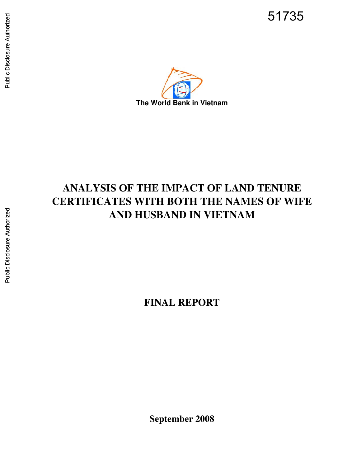51735



# **ANALYSIS OF THE IMPACT OF LAND TENURE CERTIFICATES WITH BOTH THE NAMES OF WIFE AND HUSBAND IN VIETNAM**

**FINAL REPORT**

Public Disclosure Authorized Public Disclosure Authorized

**September 2008**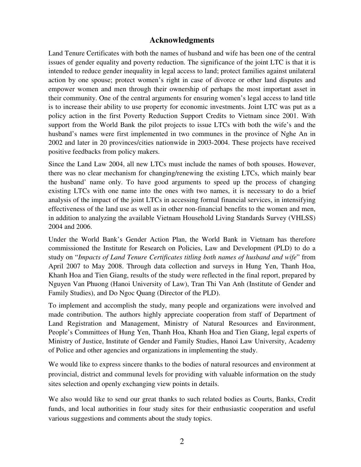## **Acknowledgments**

Land Tenure Certificates with both the names of husband and wife has been one of the central issues of gender equality and poverty reduction. The significance of the joint LTC is that it is intended to reduce gender inequality in legal access to land; protect families against unilateral action by one spouse; protect women's right in case of divorce or other land disputes and empower women and men through their ownership of perhaps the most important asset in their community. One of the central arguments for ensuring women's legal access to land title is to increase their ability to use property for economic investments. Joint LTC was put as a policy action in the first Poverty Reduction Support Credits to Vietnam since 2001. With support from the World Bank the pilot projects to issue LTCs with both the wife's and the husband's names were first implemented in two communes in the province of Nghe An in 2002 and later in 20 provinces/cities nationwide in 2003-2004. These projects have received positive feedbacks from policy makers.

Since the Land Law 2004, all new LTCs must include the names of both spouses. However, there was no clear mechanism for changing/renewing the existing LTCs, which mainly bear the husband' name only. To have good arguments to speed up the process of changing existing LTCs with one name into the ones with two names, it is necessary to do a brief analysis of the impact of the joint LTCs in accessing formal financial services, in intensifying effectiveness of the land use as well as in other non-financial benefits to the women and men, in addition to analyzing the available Vietnam Household Living Standards Survey (VHLSS) 2004 and 2006.

Under the World Bank's Gender Action Plan, the World Bank in Vietnam has therefore commissioned the Institute for Research on Policies, Law and Development (PLD) to do a study on "*Impacts of Land Tenure Certificates titling both names of husband and wife*" from April 2007 to May 2008. Through data collection and surveys in Hung Yen, Thanh Hoa, Khanh Hoa and Tien Giang, results of the study were reflected in the final report, prepared by Nguyen Van Phuong (Hanoi University of Law), Tran Thi Van Anh (Institute of Gender and Family Studies), and Do Ngoc Quang (Director of the PLD).

To implement and accomplish the study, many people and organizations were involved and made contribution. The authors highly appreciate cooperation from staff of Department of Land Registration and Management, Ministry of Natural Resources and Environment, People's Committees of Hung Yen, Thanh Hoa, Khanh Hoa and Tien Giang, legal experts of Ministry of Justice, Institute of Gender and Family Studies, Hanoi Law University, Academy of Police and other agencies and organizations in implementing the study.

We would like to express sincere thanks to the bodies of natural resources and environment at provincial, district and communal levels for providing with valuable information on the study sites selection and openly exchanging view points in details.

We also would like to send our great thanks to such related bodies as Courts, Banks, Credit funds, and local authorities in four study sites for their enthusiastic cooperation and useful various suggestions and comments about the study topics.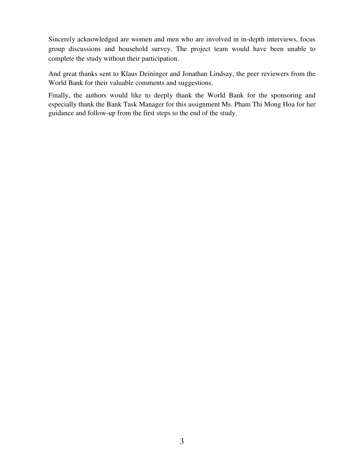Sincerely acknowledged are women and men who are involved in in-depth interviews, focus group discussions and household survey. The project team would have been unable to complete the study without their participation.

And great thanks sent to Klaus Deininger and Jonathan Lindsay, the peer reviewers from the World Bank for their valuable comments and suggestions.

Finally, the authors would like to deeply thank the World Bank for the sponsoring and especially thank the Bank Task Manager for this assignment Ms. Pham Thi Mong Hoa for her guidance and follow-up from the first steps to the end of the study.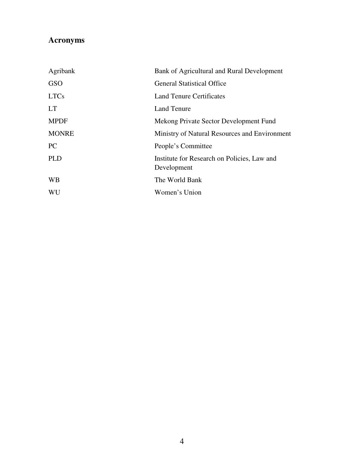## **Acronyms**

| Agribank     | Bank of Agricultural and Rural Development                 |
|--------------|------------------------------------------------------------|
| <b>GSO</b>   | <b>General Statistical Office</b>                          |
| <b>LTCs</b>  | Land Tenure Certificates                                   |
| <b>LT</b>    | Land Tenure                                                |
| <b>MPDF</b>  | Mekong Private Sector Development Fund                     |
| <b>MONRE</b> | Ministry of Natural Resources and Environment              |
| <b>PC</b>    | People's Committee                                         |
| <b>PLD</b>   | Institute for Research on Policies, Law and<br>Development |
| <b>WB</b>    | The World Bank                                             |
| WU           | Women's Union                                              |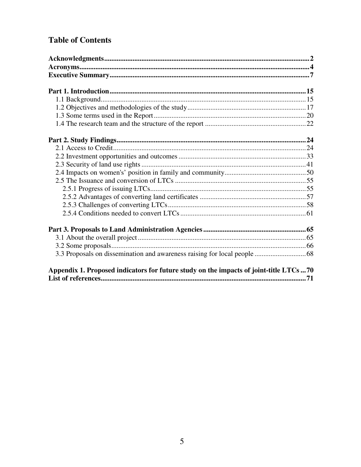## **Table of Contents**

| Appendix 1. Proposed indicators for future study on the impacts of joint-title LTCs  70 |  |
|-----------------------------------------------------------------------------------------|--|
|                                                                                         |  |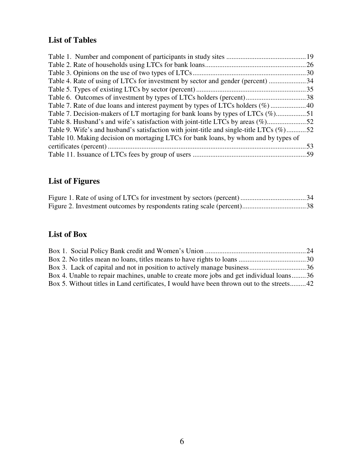## **List of Tables**

| Table 7. Decision-makers of LT mortaging for bank loans by types of LTCs (%)51          |     |
|-----------------------------------------------------------------------------------------|-----|
|                                                                                         |     |
| Table 9. Wife's and husband's satisfaction with joint-title and single-title LTCs (%)52 |     |
| Table 10. Making decision on mortaging LTCs for bank loans, by whom and by types of     |     |
|                                                                                         | .53 |
|                                                                                         |     |

## **List of Figures**

## **List of Box**

| Box 4. Unable to repair machines, unable to create more jobs and get individual loans36   |  |
|-------------------------------------------------------------------------------------------|--|
| Box 5. Without titles in Land certificates, I would have been thrown out to the streets42 |  |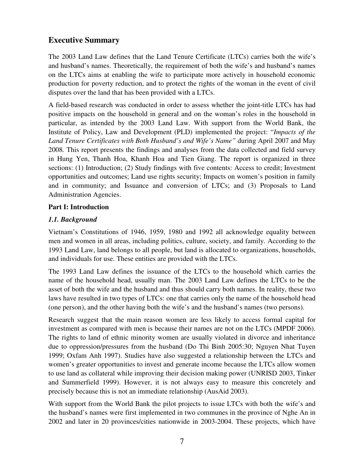## **Executive Summary**

The 2003 Land Law defines that the Land Tenure Certificate (LTCs) carries both the wife's and husband's names. Theoretically, the requirement of both the wife's and husband's names on the LTCs aims at enabling the wife to participate more actively in household economic production for poverty reduction, and to protect the rights of the woman in the event of civil disputes over the land that has been provided with a LTCs.

A field-based research was conducted in order to assess whether the joint-title LTCs has had positive impacts on the household in general and on the woman's roles in the household in particular, as intended by the 2003 Land Law. With support from the World Bank, the Institute of Policy, Law and Development (PLD) implemented the project: "*Impacts of the Land Tenure Certificates with Both Husband's and Wife's Name"* during April 2007 and May 2008*.* This report presents the findings and analyses from the data collected and field survey in Hung Yen, Thanh Hoa, Khanh Hoa and Tien Giang. The report is organized in three sections: (1) Introduction; (2) Study findings with five contents: Access to credit; Investment opportunities and outcomes; Land use rights security; Impacts on women's position in family and in community; and Issuance and conversion of LTCs; and (3) Proposals to Land Administration Agencies.

## **Part I: Introduction**

## *1.1. Background*

Vietnam's Constitutions of 1946, 1959, 1980 and 1992 all acknowledge equality between men and women in all areas, including politics, culture, society, and family. According to the 1993 Land Law, land belongs to all people, but land is allocated to organizations, households, and individuals for use. These entities are provided with the LTCs.

The 1993 Land Law defines the issuance of the LTCs to the household which carries the name of the household head, usually man. The 2003 Land Law defines the LTCs to be the asset of both the wife and the husband and thus should carry both names. In reality, these two laws have resulted in two types of LTCs: one that carries only the name of the household head (one person), and the other having both the wife's and the husband's names (two persons).

Research suggest that the main reason women are less likely to access formal capital for investment as compared with men is because their names are not on the LTCs (MPDF 2006). The rights to land of ethnic minority women are usually violated in divorce and inheritance due to oppression/pressures from the husband (Do Thi Binh 2005:30; Nguyen Nhat Tuyen 1999; Oxfam Anh 1997). Studies have also suggested a relationship between the LTCs and women's greater opportunities to invest and generate income because the LTCs allow women to use land as collateral while improving their decision making power (UNRISD 2003, Tinker and Summerfield 1999). However, it is not always easy to measure this concretely and precisely because this is not an immediate relationship (AusAid 2003).

With support from the World Bank the pilot projects to issue LTCs with both the wife's and the husband's names were first implemented in two communes in the province of Nghe An in 2002 and later in 20 provinces/cities nationwide in 2003-2004. These projects, which have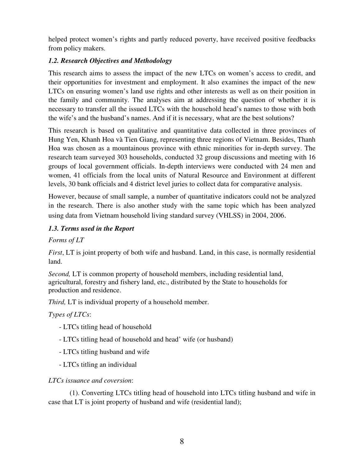helped protect women's rights and partly reduced poverty, have received positive feedbacks from policy makers.

## *1.2. Research Objectives and Methodology*

This research aims to assess the impact of the new LTCs on women's access to credit, and their opportunities for investment and employment. It also examines the impact of the new LTCs on ensuring women's land use rights and other interests as well as on their position in the family and community. The analyses aim at addressing the question of whether it is necessary to transfer all the issued LTCs with the household head's names to those with both the wife's and the husband's names. And if it is necessary, what are the best solutions?

This research is based on qualitative and quantitative data collected in three provinces of Hung Yen, Khanh Hoa và Tien Giang, representing three regions of Vietnam. Besides, Thanh Hoa was chosen as a mountainous province with ethnic minorities for in-depth survey. The research team surveyed 303 households, conducted 32 group discussions and meeting with 16 groups of local government officials. In-depth interviews were conducted with 24 men and women, 41 officials from the local units of Natural Resource and Environment at different levels, 30 bank officials and 4 district level juries to collect data for comparative analysis.

However, because of small sample, a number of quantitative indicators could not be analyzed in the research. There is also another study with the same topic which has been analyzed using data from Vietnam household living standard survey (VHLSS) in 2004, 2006.

#### *1.3. Terms used in the Report*

#### *Forms of LT*

*First*, LT is joint property of both wife and husband. Land, in this case, is normally residential land.

*Second,* LT is common property of household members, including residential land, agricultural, forestry and fishery land, etc., distributed by the State to households for production and residence.

*Third,* LT is individual property of a household member.

#### *Types of LTCs*:

- LTCs titling head of household
- LTCs titling head of household and head' wife (or husband)
- LTCs titling husband and wife
- LTCs titling an individual

## *LTCs issuance and coversion*:

 (1). Converting LTCs titling head of household into LTCs titling husband and wife in case that LT is joint property of husband and wife (residential land);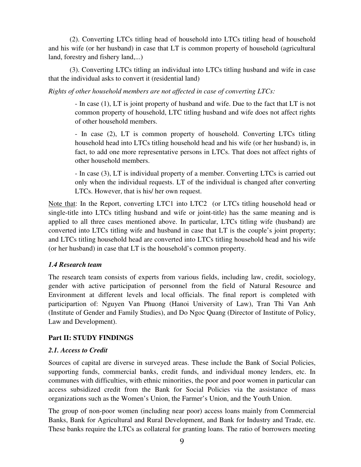(2). Converting LTCs titling head of household into LTCs titling head of household and his wife (or her husband) in case that LT is common property of household (agricultural land, forestry and fishery land,...)

 (3). Converting LTCs titling an individual into LTCs titling husband and wife in case that the individual asks to convert it (residential land)

*Rights of other household members are not affected in case of converting LTCs:* 

- In case (1), LT is joint property of husband and wife. Due to the fact that LT is not common property of household, LTC titling husband and wife does not affect rights of other household members.

- In case (2), LT is common property of household. Converting LTCs titling household head into LTCs titling household head and his wife (or her husband) is, in fact, to add one more representative persons in LTCs. That does not affect rights of other household members.

- In case (3), LT is individual property of a member. Converting LTCs is carried out only when the individual requests. LT of the individual is changed after converting LTCs. However, that is his/ her own request.

Note that: In the Report, converting LTC1 into LTC2 (or LTCs titling household head or single-title into LTCs titling husband and wife or joint-title) has the same meaning and is applied to all three cases mentioned above. In particular, LTCs titling wife (husband) are converted into LTCs titling wife and husband in case that LT is the couple's joint property; and LTCs titling household head are converted into LTCs titling household head and his wife (or her husband) in case that LT is the household's common property.

## *1.4 Research team*

The research team consists of experts from various fields, including law, credit, sociology, gender with active participation of personnel from the field of Natural Resource and Environment at different levels and local officials. The final report is completed with participartion of: Nguyen Van Phuong (Hanoi University of Law), Tran Thi Van Anh (Institute of Gender and Family Studies), and Do Ngoc Quang (Director of Institute of Policy, Law and Development).

## **Part II: STUDY FINDINGS**

#### *2.1. Access to Credit*

Sources of capital are diverse in surveyed areas. These include the Bank of Social Policies, supporting funds, commercial banks, credit funds, and individual money lenders, etc. In communes with difficulties, with ethnic minorities, the poor and poor women in particular can access subsidized credit from the Bank for Social Policies via the assistance of mass organizations such as the Women's Union, the Farmer's Union, and the Youth Union.

The group of non-poor women (including near poor) access loans mainly from Commercial Banks, Bank for Agricultural and Rural Development, and Bank for Industry and Trade, etc. These banks require the LTCs as collateral for granting loans. The ratio of borrowers meeting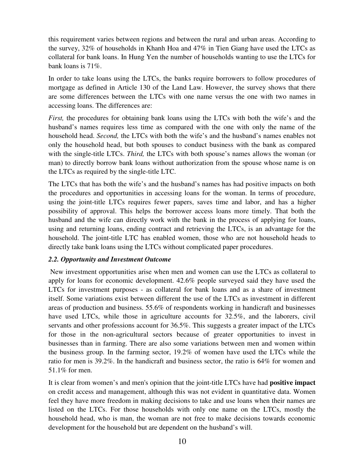this requirement varies between regions and between the rural and urban areas. According to the survey, 32% of households in Khanh Hoa and 47% in Tien Giang have used the LTCs as collateral for bank loans. In Hung Yen the number of households wanting to use the LTCs for bank loans is 71%.

In order to take loans using the LTCs, the banks require borrowers to follow procedures of mortgage as defined in Article 130 of the Land Law. However, the survey shows that there are some differences between the LTCs with one name versus the one with two names in accessing loans. The differences are:

*First,* the procedures for obtaining bank loans using the LTCs with both the wife's and the husband's names requires less time as compared with the one with only the name of the household head. *Second,* the LTCs with both the wife's and the husband's names enables not only the household head, but both spouses to conduct business with the bank as compared with the single-title LTCs. *Third,* the LTCs with both spouse's names allows the woman (or man) to directly borrow bank loans without authorization from the spouse whose name is on the LTCs as required by the single-title LTC.

The LTCs that has both the wife's and the husband's names has had positive impacts on both the procedures and opportunities in accessing loans for the woman. In terms of procedure, using the joint-title LTCs requires fewer papers, saves time and labor, and has a higher possibility of approval. This helps the borrower access loans more timely. That both the husband and the wife can directly work with the bank in the process of applying for loans, using and returning loans, ending contract and retrieving the LTCs, is an advantage for the household. The joint-title LTC has enabled women, those who are not household heads to directly take bank loans using the LTCs without complicated paper procedures.

#### *2.2. Opportunity and Investment Outcome*

New investment opportunities arise when men and women can use the LTCs as collateral to apply for loans for economic development. 42.6% people surveyed said they have used the LTCs for investment purposes - as collateral for bank loans and as a share of investment itself. Some variations exist between different the use of the LTCs as investment in different areas of production and business. 55.6% of respondents working in handicraft and businesses have used LTCs, while those in agriculture accounts for 32.5%, and the laborers, civil servants and other professions account for 36.5%. This suggests a greater impact of the LTCs for those in the non-agricultural sectors because of greater opportunities to invest in businesses than in farming. There are also some variations between men and women within the business group. In the farming sector, 19.2% of women have used the LTCs while the ratio for men is 39.2%. In the handicraft and business sector, the ratio is 64% for women and 51.1% for men.

It is clear from women's and men's opinion that the joint-title LTCs have had **positive impact** on credit access and management, although this was not evident in quantitative data. Women feel they have more freedom in making decisions to take and use loans when their names are listed on the LTCs. For those households with only one name on the LTCs, mostly the household head, who is man, the woman are not free to make decisions towards economic development for the household but are dependent on the husband's will.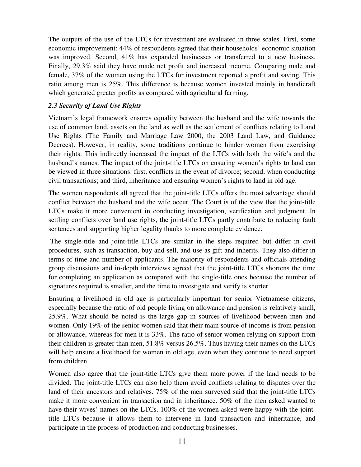The outputs of the use of the LTCs for investment are evaluated in three scales. First, some economic improvement: 44% of respondents agreed that their households' economic situation was improved. Second, 41% has expanded businesses or transferred to a new business. Finally, 29.3% said they have made net profit and increased income. Comparing male and female, 37% of the women using the LTCs for investment reported a profit and saving. This ratio among men is 25%. This difference is because women invested mainly in handicraft which generated greater profits as compared with agricultural farming.

### *2.3 Security of Land Use Rights*

Vietnam's legal framework ensures equality between the husband and the wife towards the use of common land, assets on the land as well as the settlement of conflicts relating to Land Use Rights (The Family and Marriage Law 2000, the 2003 Land Law, and Guidance Decrees). However, in reality, some traditions continue to hinder women from exercising their rights. This indirectly increased the impact of the LTCs with both the wife's and the husband's names. The impact of the joint-title LTCs on ensuring women's rights to land can be viewed in three situations: first, conflicts in the event of divorce; second, when conducting civil transactions; and third, inheritance and ensuring women's rights to land in old age.

The women respondents all agreed that the joint-title LTCs offers the most advantage should conflict between the husband and the wife occur. The Court is of the view that the joint-title LTCs make it more convenient in conducting investigation, verification and judgment. In settling conflicts over land use rights, the joint-title LTCs partly contribute to reducing fault sentences and supporting higher legality thanks to more complete evidence.

 The single-title and joint-title LTCs are similar in the steps required but differ in civil procedures, such as transaction, buy and sell, and use as gift and inherits. They also differ in terms of time and number of applicants. The majority of respondents and officials attending group discussions and in-depth interviews agreed that the joint-title LTCs shortens the time for completing an application as compared with the single-title ones because the number of signatures required is smaller, and the time to investigate and verify is shorter.

Ensuring a livelihood in old age is particularly important for senior Vietnamese citizens, especially because the ratio of old people living on allowance and pension is relatively small, 25.9%. What should be noted is the large gap in sources of livelihood between men and women. Only 19% of the senior women said that their main source of income is from pension or allowance, whereas for men it is 33%. The ratio of senior women relying on support from their children is greater than men, 51.8% versus 26.5%. Thus having their names on the LTCs will help ensure a livelihood for women in old age, even when they continue to need support from children.

Women also agree that the joint-title LTCs give them more power if the land needs to be divided. The joint-title LTCs can also help them avoid conflicts relating to disputes over the land of their ancestors and relatives. 75% of the men surveyed said that the joint-title LTCs make it more convenient in transaction and in inheritance. 50% of the men asked wanted to have their wives' names on the LTCs. 100% of the women asked were happy with the jointtitle LTCs because it allows them to intervene in land transaction and inheritance, and participate in the process of production and conducting businesses.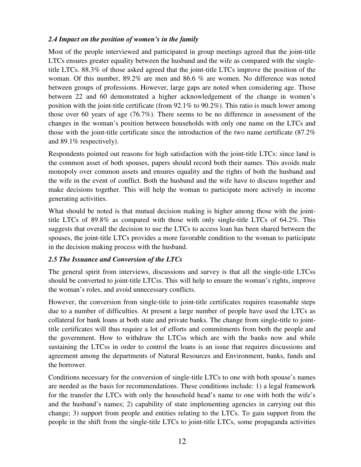## *2.4 Impact on the position of women's in the family*

Most of the people interviewed and participated in group meetings agreed that the joint-title LTCs ensures greater equality between the husband and the wife as compared with the singletitle LTCs. 88.3% of those asked agreed that the joint-title LTCs improve the position of the woman. Of this number, 89.2% are men and 86.6 % are women. No difference was noted between groups of professions. However, large gaps are noted when considering age. Those between 22 and 60 demonstrated a higher acknowledgement of the change in women's position with the joint-title certificate (from 92.1% to 90.2%). This ratio is much lower among those over 60 years of age (76.7%). There seems to be no difference in assessment of the changes in the woman's position between households with only one name on the LTCs and those with the joint-title certificate since the introduction of the two name certificate (87.2% and 89.1% respectively).

Respondents pointed out reasons for high satisfaction with the joint-title LTCs: since land is the common asset of both spouses, papers should record both their names. This avoids male monopoly over common assets and ensures equality and the rights of both the husband and the wife in the event of conflict. Both the husband and the wife have to discuss together and make decisions together. This will help the woman to participate more actively in income generating activities.

What should be noted is that mutual decision making is higher among those with the jointtitle LTCs of 89.8% as compared with those with only single-title LTCs of 64.2%. This suggests that overall the decision to use the LTCs to access loan has been shared between the spouses, the joint-title LTCs provides a more favorable condition to the woman to participate in the decision making process with the husband.

## *2.5 The Issuance and Conversion of the LTCs*

The general spirit from interviews, discussions and survey is that all the single-title LTCss should be converted to joint-title LTCss. This will help to ensure the woman's rights, improve the woman's roles, and avoid unnecessary conflicts.

However, the conversion from single-title to joint-title certificates requires reasonable steps due to a number of difficulties. At present a large number of people have used the LTCs as collateral for bank loans at both state and private banks. The change from single-title to jointtitle certificates will thus require a lot of efforts and commitments from both the people and the government. How to withdraw the LTCss which are with the banks now and while sustaining the LTCss in order to control the loans is an issue that requires discussions and agreement among the departments of Natural Resources and Environment, banks, funds and the borrower.

Conditions necessary for the conversion of single-title LTCs to one with both spouse's names are needed as the basis for recommendations. These conditions include: 1) a legal framework for the transfer the LTCs with only the household head's name to one with both the wife's and the husband's names; 2) capability of state implementing agencies in carrying out this change; 3) support from people and entities relating to the LTCs. To gain support from the people in the shift from the single-title LTCs to joint-title LTCs, some propaganda activities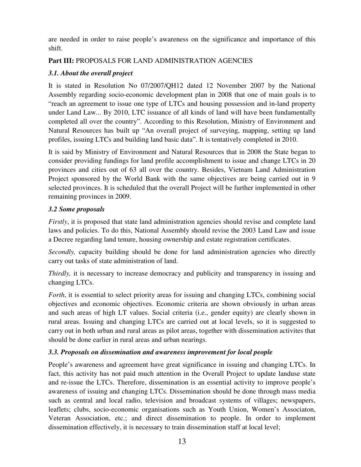are needed in order to raise people's awareness on the significance and importance of this shift.

## **Part III:** PROPOSALS FOR LAND ADMINISTRATION AGENCIES

## *3.1. About the overall project*

It is stated in Resolution No 07/2007/QH12 dated 12 November 2007 by the National Assembly regarding socio-economic development plan in 2008 that one of main goals is to "reach an agreement to issue one type of LTCs and housing possession and in-land property under Land Law... By 2010, LTC issuance of all kinds of land will have been fundamentally completed all over the country". According to this Resolution, Ministry of Environment and Natural Resources has built up "An overall project of surveying, mapping, setting up land profiles, issuing LTCs and building land basic data". It is tentatively completed in 2010.

It is said by Ministry of Environment and Natural Resources that in 2008 the State began to consider providing fundings for land profile accomplishment to issue and change LTCs in 20 provinces and cities out of 63 all over the country. Besides, Vietnam Land Administration Project sponsored by the World Bank with the same objectives are being carried out in 9 selected provinces. It is scheduled that the overall Project will be further implemented in other remaining provinces in 2009.

## *3.2 Some proposals*

*Firstly*, it is proposed that state land administration agencies should revise and complete land laws and policies. To do this, National Assembly should revise the 2003 Land Law and issue a Decree regarding land tenure, housing ownership and estate registration certificates.

*Secondly,* capacity building should be done for land administration agencies who directly carry out tasks of state administration of land.

*Thirdly,* it is necessary to increase democracy and publicity and transparency in issuing and changing LTCs.

*Forth*, it is essential to select priority areas for issuing and changing LTCs, combining social objectives and economic objectives. Economic criteria are shown obviously in urban areas and such areas of high LT values. Social criteria (i.e., gender equity) are clearly shown in rural areas. Issuing and changing LTCs are carried out at local levels, so it is suggested to carry out in both urban and rural areas as pilot areas, together with dissemination activites that should be done earlier in rural areas and urban nearings.

## *3.3. Proposals on dissemination and awareness improvement for local people*

People's awareness and agreement have great significance in issuing and changing LTCs. In fact, this activity has not paid much attention in the Overall Project to update landuse state and re-issue the LTCs. Therefore, dissemination is an essential activity to improve people's awareness of issuing and changing LTCs. Dissemination should be done through mass media such as central and local radio, television and broadcast systems of villages; newspapers, leaflets; clubs, socio-economic organisations such as Youth Union, Women's Associaton, Veteran Association, etc.; and direct dissemination to people. In order to implement dissemination effectively, it is necessary to train dissemination staff at local level;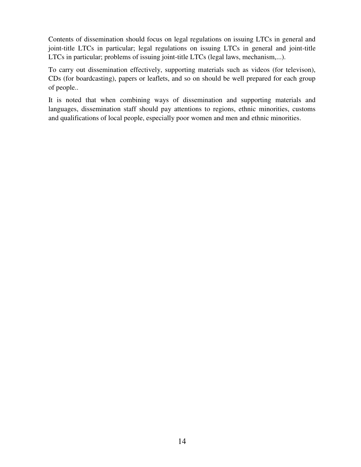Contents of dissemination should focus on legal regulations on issuing LTCs in general and joint-title LTCs in particular; legal regulations on issuing LTCs in general and joint-title LTCs in particular; problems of issuing joint-title LTCs (legal laws, mechanism,...).

To carry out dissemination effectively, supporting materials such as videos (for televison), CDs (for boardcasting), papers or leaflets, and so on should be well prepared for each group of people..

It is noted that when combining ways of dissemination and supporting materials and languages, dissemination staff should pay attentions to regions, ethnic minorities, customs and qualifications of local people, especially poor women and men and ethnic minorities.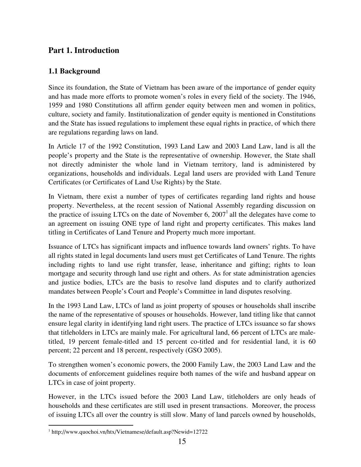## **Part 1. Introduction**

## **1.1 Background**

Since its foundation, the State of Vietnam has been aware of the importance of gender equity and has made more efforts to promote women's roles in every field of the society. The 1946, 1959 and 1980 Constitutions all affirm gender equity between men and women in politics, culture, society and family. Institutionalization of gender equity is mentioned in Constitutions and the State has issued regulations to implement these equal rights in practice, of which there are regulations regarding laws on land.

In Article 17 of the 1992 Constitution, 1993 Land Law and 2003 Land Law, land is all the people's property and the State is the representative of ownership. However, the State shall not directly administer the whole land in Vietnam territory, land is administered by organizations, households and individuals. Legal land users are provided with Land Tenure Certificates (or Certificates of Land Use Rights) by the State.

In Vietnam, there exist a number of types of certificates regarding land rights and house property. Nevertheless, at the recent session of National Assembly regarding discussion on the practice of issuing LTCs on the date of November 6,  $2007<sup>1</sup>$  all the delegates have come to an agreement on issuing ONE type of land right and property certificates. This makes land titling in Certificates of Land Tenure and Property much more important.

Issuance of LTCs has significant impacts and influence towards land owners' rights. To have all rights stated in legal documents land users must get Certificates of Land Tenure. The rights including rights to land use right transfer, lease, inheritance and gifting; rights to loan mortgage and security through land use right and others. As for state administration agencies and justice bodies, LTCs are the basis to resolve land disputes and to clarify authorized mandates between People's Court and People's Committee in land disputes resolving.

In the 1993 Land Law, LTCs of land as joint property of spouses or households shall inscribe the name of the representative of spouses or households. However, land titling like that cannot ensure legal clarity in identifying land right users. The practice of LTCs issuance so far shows that titleholders in LTCs are mainly male. For agricultural land, 66 percent of LTCs are maletitled, 19 percent female-titled and 15 percent co-titled and for residential land, it is 60 percent; 22 percent and 18 percent, respectively (GSO 2005).

To strengthen women's economic powers, the 2000 Family Law, the 2003 Land Law and the documents of enforcement guidelines require both names of the wife and husband appear on LTCs in case of joint property.

However, in the LTCs issued before the 2003 Land Law, titleholders are only heads of households and these certificates are still used in present transactions. Moreover, the process of issuing LTCs all over the country is still slow. Many of land parcels owned by households,

 $\overline{a}$ <sup>1</sup> http://www.quochoi.vn/htx/Vietnamese/default.asp?Newid=12722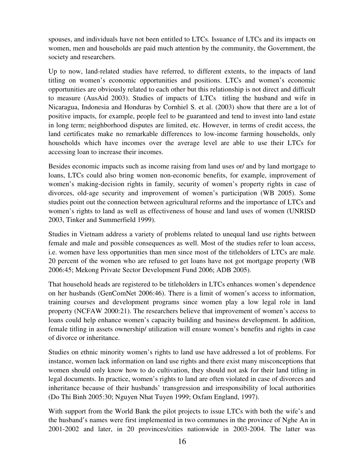spouses, and individuals have not been entitled to LTCs. Issuance of LTCs and its impacts on women, men and households are paid much attention by the community, the Government, the society and researchers.

Up to now, land-related studies have referred, to different extents, to the impacts of land titling on women's economic opportunities and positions. LTCs and women's economic opportunities are obviously related to each other but this relationship is not direct and difficult to measure (AusAid 2003). Studies of impacts of LTCs titling the husband and wife in Nicaragua, Indonesia and Honduras by Cornhiel S. et al. (2003) show that there are a lot of positive impacts, for example, people feel to be guaranteed and tend to invest into land estate in long term; neighborhood disputes are limited, etc. However, in terms of credit access, the land certificates make no remarkable differences to low-income farming households, only households which have incomes over the average level are able to use their LTCs for accessing loan to increase their incomes.

Besides economic impacts such as income raising from land uses or/ and by land mortgage to loans, LTCs could also bring women non-economic benefits, for example, improvement of women's making-decision rights in family, security of women's property rights in case of divorces, old-age security and improvement of women's participation (WB 2005). Some studies point out the connection between agricultural reforms and the importance of LTCs and women's rights to land as well as effectiveness of house and land uses of women (UNRISD 2003, Tinker and Summerfield 1999).

Studies in Vietnam address a variety of problems related to unequal land use rights between female and male and possible consequences as well. Most of the studies refer to loan access, i.e. women have less opportunities than men since most of the titleholders of LTCs are male. 20 percent of the women who are refused to get loans have not got mortgage property (WB 2006:45; Mekong Private Sector Development Fund 2006; ADB 2005).

That household heads are registered to be titleholders in LTCs enhances women's dependence on her husbands (GenComNet 2006:46). There is a limit of women's access to information, training courses and development programs since women play a low legal role in land property (NCFAW 2000:21). The researchers believe that improvement of women's access to loans could help enhance women's capacity building and business development. In addition, female titling in assets ownership/ utilization will ensure women's benefits and rights in case of divorce or inheritance.

Studies on ethnic minority women's rights to land use have addressed a lot of problems. For instance, women lack information on land use rights and there exist many misconceptions that women should only know how to do cultivation, they should not ask for their land titling in legal documents. In practice, women's rights to land are often violated in case of divorces and inheritance because of their husbands' transgression and irresponsibility of local authorities (Do Thi Binh 2005:30; Nguyen Nhat Tuyen 1999; Oxfam England, 1997).

With support from the World Bank the pilot projects to issue LTCs with both the wife's and the husband's names were first implemented in two communes in the province of Nghe An in 2001-2002 and later, in 20 provinces/cities nationwide in 2003-2004. The latter was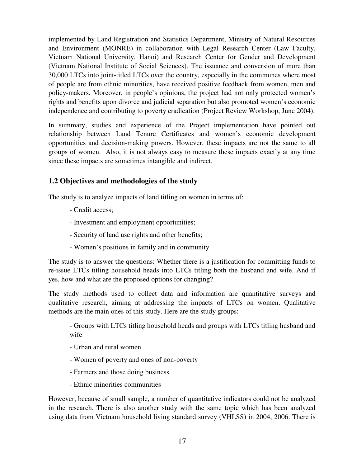implemented by Land Registration and Statistics Department, Ministry of Natural Resources and Environment (MONRE) in collaboration with Legal Research Center (Law Faculty, Vietnam National University, Hanoi) and Research Center for Gender and Development (Vietnam National Institute of Social Sciences). The issuance and conversion of more than 30,000 LTCs into joint-titled LTCs over the country, especially in the communes where most of people are from ethnic minorities, have received positive feedback from women, men and policy-makers. Moreover, in people's opinions, the project had not only protected women's rights and benefits upon divorce and judicial separation but also promoted women's economic independence and contributing to poverty eradication (Project Review Workshop, June 2004).

In summary, studies and experience of the Project implementation have pointed out relationship between Land Tenure Certificates and women's economic development opportunities and decision-making powers. However, these impacts are not the same to all groups of women. Also, it is not always easy to measure these impacts exactly at any time since these impacts are sometimes intangible and indirect.

## **1.2 Objectives and methodologies of the study**

The study is to analyze impacts of land titling on women in terms of:

- Credit access;
- Investment and employment opportunities;
- Security of land use rights and other benefits;
- Women's positions in family and in community.

The study is to answer the questions: Whether there is a justification for committing funds to re-issue LTCs titling household heads into LTCs titling both the husband and wife. And if yes, how and what are the proposed options for changing?

The study methods used to collect data and information are quantitative surveys and qualitative research, aiming at addressing the impacts of LTCs on women. Qualitative methods are the main ones of this study. Here are the study groups:

- Groups with LTCs titling household heads and groups with LTCs titling husband and wife

- Urban and rural women
- Women of poverty and ones of non-poverty
- Farmers and those doing business
- Ethnic minorities communities

However, because of small sample, a number of quantitative indicators could not be analyzed in the research. There is also another study with the same topic which has been analyzed using data from Vietnam household living standard survey (VHLSS) in 2004, 2006. There is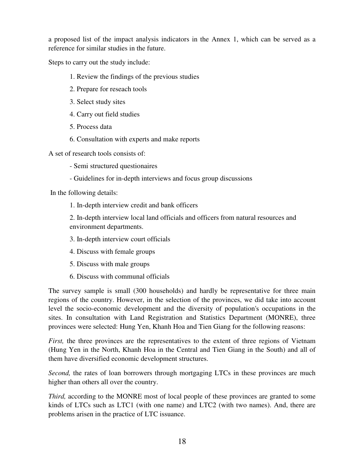a proposed list of the impact analysis indicators in the Annex 1, which can be served as a reference for similar studies in the future.

Steps to carry out the study include:

- 1. Review the findings of the previous studies
- 2. Prepare for reseach tools
- 3. Select study sites
- 4. Carry out field studies
- 5. Process data
- 6. Consultation with experts and make reports

A set of research tools consists of:

- Semi structured questionaires
- Guidelines for in-depth interviews and focus group discussions

In the following details:

1. In-depth interview credit and bank officers

2. In-depth interview local land officials and officers from natural resources and environment departments.

- 3. In-depth interview court officials
- 4. Discuss with female groups
- 5. Discuss with male groups
- 6. Discuss with communal officials

The survey sample is small (300 households) and hardly be representative for three main regions of the country. However, in the selection of the provinces, we did take into account level the socio-economic development and the diversity of population's occupations in the sites. In consultation with Land Registration and Statistics Department (MONRE), three provinces were selected: Hung Yen, Khanh Hoa and Tien Giang for the following reasons:

*First*, the three provinces are the representatives to the extent of three regions of Vietnam (Hung Yen in the North, Khanh Hoa in the Central and Tien Giang in the South) and all of them have diversified economic development structures.

*Second*, the rates of loan borrowers through mortgaging LTCs in these provinces are much higher than others all over the country.

*Third,* according to the MONRE most of local people of these provinces are granted to some kinds of LTCs such as LTC1 (with one name) and LTC2 (with two names). And, there are problems arisen in the practice of LTC issuance.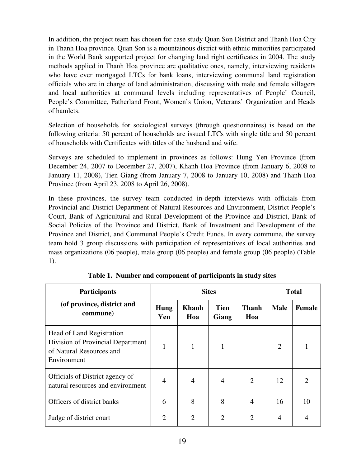In addition, the project team has chosen for case study Quan Son District and Thanh Hoa City in Thanh Hoa province. Quan Son is a mountainous district with ethnic minorities participated in the World Bank supported project for changing land right certificates in 2004. The study methods applied in Thanh Hoa province are qualitative ones, namely, interviewing residents who have ever mortgaged LTCs for bank loans, interviewing communal land registration officials who are in charge of land administration, discussing with male and female villagers and local authorities at communal levels including representatives of People' Council, People's Committee, Fatherland Front, Women's Union, Veterans' Organization and Heads of hamlets.

Selection of households for sociological surveys (through questionnaires) is based on the following criteria: 50 percent of households are issued LTCs with single title and 50 percent of households with Certificates with titles of the husband and wife.

Surveys are scheduled to implement in provinces as follows: Hung Yen Province (from December 24, 2007 to December 27, 2007), Khanh Hoa Province (from January 6, 2008 to January 11, 2008), Tien Giang (from January 7, 2008 to January 10, 2008) and Thanh Hoa Province (from April 23, 2008 to April 26, 2008).

In these provinces, the survey team conducted in-depth interviews with officials from Provincial and District Department of Natural Resources and Environment, District People's Court, Bank of Agricultural and Rural Development of the Province and District, Bank of Social Policies of the Province and District, Bank of Investment and Development of the Province and District, and Communal People's Credit Funds. In every commune, the survey team hold 3 group discussions with participation of representatives of local authorities and mass organizations (06 people), male group (06 people) and female group (06 people) (Table 1).

| <b>Participants</b>                                                                                       | <b>Sites</b>       |                     |                      |                     | <b>Total</b>   |                |
|-----------------------------------------------------------------------------------------------------------|--------------------|---------------------|----------------------|---------------------|----------------|----------------|
| (of province, district and<br>commune)                                                                    | <b>Hung</b><br>Yen | <b>Khanh</b><br>Hoa | <b>Tien</b><br>Giang | <b>Thanh</b><br>Hoa | <b>Male</b>    | <b>Female</b>  |
| Head of Land Registration<br>Division of Provincial Department<br>of Natural Resources and<br>Environment | 1                  | 1                   |                      |                     | $\overline{2}$ |                |
| Officials of District agency of<br>natural resources and environment                                      | 4                  | 4                   | 4                    | 2                   | 12             | $\overline{2}$ |
| Officers of district banks                                                                                | 6                  | 8                   | 8                    | 4                   | 16             | 10             |
| Judge of district court                                                                                   | $\overline{2}$     | $\overline{2}$      | 2                    | $\overline{2}$      | $\overline{4}$ |                |

**Table 1. Number and component of participants in study sites**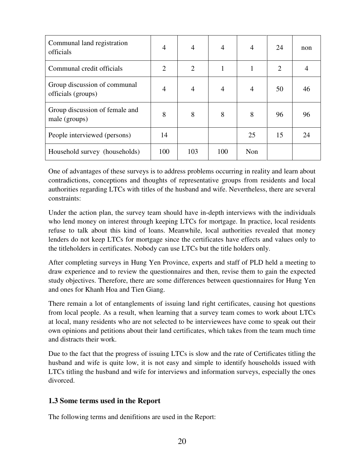| Communal land registration<br>officials            | $\overline{4}$ | $\overline{4}$ | $\overline{4}$ | $\overline{4}$ | 24             | non |
|----------------------------------------------------|----------------|----------------|----------------|----------------|----------------|-----|
| Communal credit officials                          | $\overline{2}$ | $\overline{2}$ | 1              |                | $\overline{2}$ |     |
| Group discussion of communal<br>officials (groups) | $\overline{4}$ | $\overline{4}$ | 4              | $\overline{4}$ | 50             | 46  |
| Group discussion of female and<br>male (groups)    | 8              | 8              | 8              | 8              | 96             | 96  |
| People interviewed (persons)                       | 14             |                |                | 25             | 15             | 24  |
| Household survey (households)                      | 100            | 103            | 100            | Non            |                |     |

One of advantages of these surveys is to address problems occurring in reality and learn about contradictions, conceptions and thoughts of representative groups from residents and local authorities regarding LTCs with titles of the husband and wife. Nevertheless, there are several constraints:

Under the action plan, the survey team should have in-depth interviews with the individuals who lend money on interest through keeping LTCs for mortgage. In practice, local residents refuse to talk about this kind of loans. Meanwhile, local authorities revealed that money lenders do not keep LTCs for mortgage since the certificates have effects and values only to the titleholders in certificates. Nobody can use LTCs but the title holders only.

After completing surveys in Hung Yen Province, experts and staff of PLD held a meeting to draw experience and to review the questionnaires and then, revise them to gain the expected study objectives. Therefore, there are some differences between questionnaires for Hung Yen and ones for Khanh Hoa and Tien Giang.

There remain a lot of entanglements of issuing land right certificates, causing hot questions from local people. As a result, when learning that a survey team comes to work about LTCs at local, many residents who are not selected to be interviewees have come to speak out their own opinions and petitions about their land certificates, which takes from the team much time and distracts their work.

Due to the fact that the progress of issuing LTCs is slow and the rate of Certificates titling the husband and wife is quite low, it is not easy and simple to identify households issued with LTCs titling the husband and wife for interviews and information surveys, especially the ones divorced.

## **1.3 Some terms used in the Report**

The following terms and denifitions are used in the Report: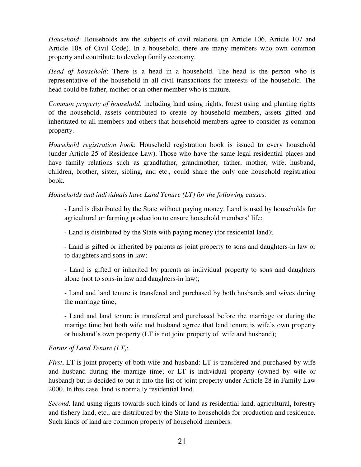*Household*: Households are the subjects of civil relations (in Article 106, Article 107 and Article 108 of Civil Code). In a household, there are many members who own common property and contribute to develop family economy.

*Head of household*: There is a head in a household. The head is the person who is representative of the household in all civil transactions for interests of the household. The head could be father, mother or an other member who is mature.

*Common property of household*: including land using rights, forest using and planting rights of the household, assets contributed to create by household members, assets gifted and inheritated to all members and others that household members agree to consider as common property.

*Household registration book*: Household registration book is issued to every household (under Article 25 of Residence Law). Those who have the same legal residential places and have family relations such as grandfather, grandmother, father, mother, wife, husband, children, brother, sister, sibling, and etc., could share the only one household registration book.

*Households and individuals have Land Tenure (LT) for the following causes:* 

- Land is distributed by the State without paying money. Land is used by households for agricultural or farming production to ensure household members' life;

- Land is distributed by the State with paying money (for residental land);

- Land is gifted or inherited by parents as joint property to sons and daughters-in law or to daughters and sons-in law;

- Land is gifted or inherited by parents as individual property to sons and daughters alone (not to sons-in law and daughters-in law);

- Land and land tenure is transfered and purchased by both husbands and wives during the marriage time;

- Land and land tenure is transfered and purchased before the marriage or during the marrige time but both wife and husband agrree that land tenure is wife's own property or husband's own property (LT is not joint property of wife and husband);

## *Forms of Land Tenure (LT)*:

*First*, LT is joint property of both wife and husband: LT is transfered and purchased by wife and husband during the marrige time; or LT is individual property (owned by wife or husband) but is decided to put it into the list of joint property under Article 28 in Family Law 2000. In this case, land is normally residential land.

*Second,* land using rights towards such kinds of land as residential land, agricultural, forestry and fishery land, etc., are distributed by the State to households for production and residence. Such kinds of land are common property of household members.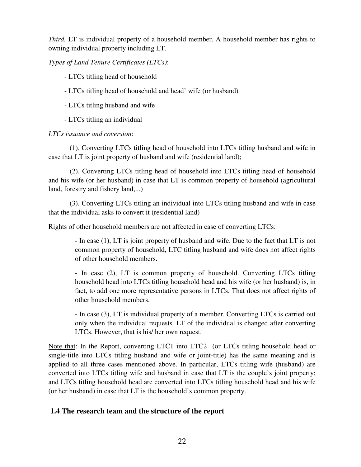*Third,* LT is individual property of a household member. A household member has rights to owning individual property including LT.

*Types of Land Tenure Certificates (LTCs)*:

- LTCs titling head of household

- LTCs titling head of household and head' wife (or husband)
- LTCs titling husband and wife

- LTCs titling an individual

*LTCs issuance and coversion*:

 (1). Converting LTCs titling head of household into LTCs titling husband and wife in case that LT is joint property of husband and wife (residential land);

 (2). Converting LTCs titling head of household into LTCs titling head of household and his wife (or her husband) in case that LT is common property of household (agricultural land, forestry and fishery land,...)

 (3). Converting LTCs titling an individual into LTCs titling husband and wife in case that the individual asks to convert it (residential land)

Rights of other household members are not affected in case of converting LTCs:

- In case (1), LT is joint property of husband and wife. Due to the fact that LT is not common property of household, LTC titling husband and wife does not affect rights of other household members.

- In case (2), LT is common property of household. Converting LTCs titling household head into LTCs titling household head and his wife (or her husband) is, in fact, to add one more representative persons in LTCs. That does not affect rights of other household members.

- In case (3), LT is individual property of a member. Converting LTCs is carried out only when the individual requests. LT of the individual is changed after converting LTCs. However, that is his/ her own request.

Note that: In the Report, converting LTC1 into LTC2 (or LTCs titling household head or single-title into LTCs titling husband and wife or joint-title) has the same meaning and is applied to all three cases mentioned above. In particular, LTCs titling wife (husband) are converted into LTCs titling wife and husband in case that LT is the couple's joint property; and LTCs titling household head are converted into LTCs titling household head and his wife (or her husband) in case that LT is the household's common property.

## **1.4 The research team and the structure of the report**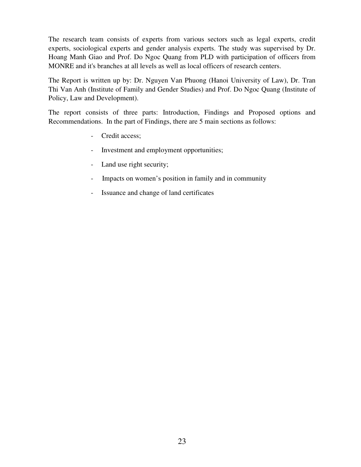The research team consists of experts from various sectors such as legal experts, credit experts, sociological experts and gender analysis experts. The study was supervised by Dr. Hoang Manh Giao and Prof. Do Ngoc Quang from PLD with participation of officers from MONRE and it's branches at all levels as well as local officers of research centers.

The Report is written up by: Dr. Nguyen Van Phuong (Hanoi University of Law), Dr. Tran Thi Van Anh (Institute of Family and Gender Studies) and Prof. Do Ngoc Quang (Institute of Policy, Law and Development).

The report consists of three parts: Introduction, Findings and Proposed options and Recommendations. In the part of Findings, there are 5 main sections as follows:

- Credit access;
- Investment and employment opportunities;
- Land use right security;
- Impacts on women's position in family and in community
- Issuance and change of land certificates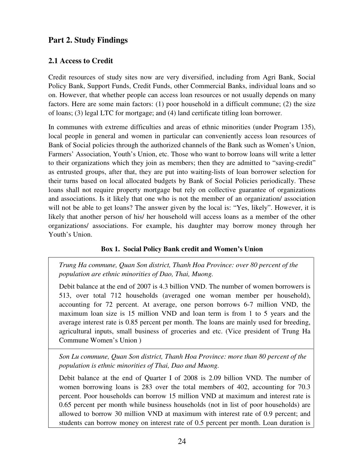## **Part 2. Study Findings**

## **2.1 Access to Credit**

Credit resources of study sites now are very diversified, including from Agri Bank, Social Policy Bank, Support Funds, Credit Funds, other Commercial Banks, individual loans and so on. However, that whether people can access loan resources or not usually depends on many factors. Here are some main factors: (1) poor household in a difficult commune; (2) the size of loans; (3) legal LTC for mortgage; and (4) land certificate titling loan borrower.

In communes with extreme difficulties and areas of ethnic minorities (under Program 135), local people in general and women in particular can conveniently access loan resources of Bank of Social policies through the authorized channels of the Bank such as Women's Union, Farmers' Association, Youth's Union, etc. Those who want to borrow loans will write a letter to their organizations which they join as members; then they are admitted to "saving-credit" as entrusted groups, after that, they are put into waiting-lists of loan borrower selection for their turns based on local allocated budgets by Bank of Social Policies periodically. These loans shall not require property mortgage but rely on collective guarantee of organizations and associations. Is it likely that one who is not the member of an organization/ association will not be able to get loans? The answer given by the local is: "Yes, likely". However, it is likely that another person of his/ her household will access loans as a member of the other organizations/ associations. For example, his daughter may borrow money through her Youth's Union.

## **Box 1. Social Policy Bank credit and Women's Union**

*Trung Ha commune, Quan Son district, Thanh Hoa Province: over 80 percent of the population are ethnic minorities of Dao, Thai, Muong.* 

Debit balance at the end of 2007 is 4.3 billion VND. The number of women borrowers is 513, over total 712 households (averaged one woman member per household), accounting for 72 percent. At average, one person borrows 6-7 million VND, the maximum loan size is 15 million VND and loan term is from 1 to 5 years and the average interest rate is 0.85 percent per month. The loans are mainly used for breeding, agricultural inputs, small business of groceries and etc. (Vice president of Trung Ha Commune Women's Union )

*Son Lu commune, Quan Son district, Thanh Hoa Province: more than 80 percent of the population is ethnic minorities of Thai, Dao and Muong.* 

Debit balance at the end of Quarter I of 2008 is 2.09 billion VND. The number of women borrowing loans is 283 over the total members of 402, accounting for 70.3 percent. Poor households can borrow 15 million VND at maximum and interest rate is 0.65 percent per month while business households (not in list of poor households) are allowed to borrow 30 million VND at maximum with interest rate of 0.9 percent; and students can borrow money on interest rate of 0.5 percent per month. Loan duration is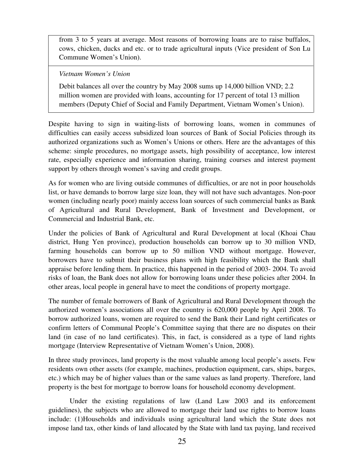from 3 to 5 years at average. Most reasons of borrowing loans are to raise buffalos, cows, chicken, ducks and etc. or to trade agricultural inputs (Vice president of Son Lu Commune Women's Union).

#### *Vietnam Women's Union*

Debit balances all over the country by May 2008 sums up 14,000 billion VND; 2.2 million women are provided with loans, accounting for 17 percent of total 13 million members (Deputy Chief of Social and Family Department, Vietnam Women's Union).

Despite having to sign in waiting-lists of borrowing loans, women in communes of difficulties can easily access subsidized loan sources of Bank of Social Policies through its authorized organizations such as Women's Unions or others. Here are the advantages of this scheme: simple procedures, no mortgage assets, high possibility of acceptance, low interest rate, especially experience and information sharing, training courses and interest payment support by others through women's saving and credit groups.

As for women who are living outside communes of difficulties, or are not in poor households list, or have demands to borrow large size loan, they will not have such advantages. Non-poor women (including nearly poor) mainly access loan sources of such commercial banks as Bank of Agricultural and Rural Development, Bank of Investment and Development, or Commercial and Industrial Bank, etc.

Under the policies of Bank of Agricultural and Rural Development at local (Khoai Chau district, Hung Yen province), production households can borrow up to 30 million VND, farming households can borrow up to 50 million VND without mortgage. However, borrowers have to submit their business plans with high feasibility which the Bank shall appraise before lending them. In practice, this happened in the period of 2003- 2004. To avoid risks of loan, the Bank does not allow for borrowing loans under these policies after 2004. In other areas, local people in general have to meet the conditions of property mortgage.

The number of female borrowers of Bank of Agricultural and Rural Development through the authorized women's associations all over the country is 620,000 people by April 2008. To borrow authorized loans, women are required to send the Bank their Land right certificates or confirm letters of Communal People's Committee saying that there are no disputes on their land (in case of no land certificates). This, in fact, is considered as a type of land rights mortgage (Interview Representative of Vietnam Women's Union, 2008).

In three study provinces, land property is the most valuable among local people's assets. Few residents own other assets (for example, machines, production equipment, cars, ships, barges, etc.) which may be of higher values than or the same values as land property. Therefore, land property is the best for mortgage to borrow loans for household economy development.

Under the existing regulations of law (Land Law 2003 and its enforcement guidelines), the subjects who are allowed to mortgage their land use rights to borrow loans include: (1)Households and individuals using agricultural land which the State does not impose land tax, other kinds of land allocated by the State with land tax paying, land received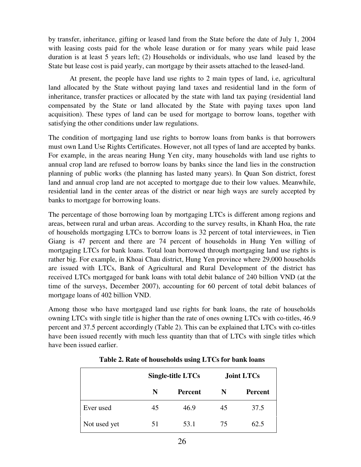by transfer, inheritance, gifting or leased land from the State before the date of July 1, 2004 with leasing costs paid for the whole lease duration or for many years while paid lease duration is at least 5 years left; (2) Households or individuals, who use land leased by the State but lease cost is paid yearly, can mortgage by their assets attached to the leased-land.

At present, the people have land use rights to 2 main types of land, i.e, agricultural land allocated by the State without paying land taxes and residential land in the form of inheritance, transfer practices or allocated by the state with land tax paying (residential land compensated by the State or land allocated by the State with paying taxes upon land acquisition). These types of land can be used for mortgage to borrow loans, together with satisfying the other conditions under law regulations.

The condition of mortgaging land use rights to borrow loans from banks is that borrowers must own Land Use Rights Certificates. However, not all types of land are accepted by banks. For example, in the areas nearing Hung Yen city, many households with land use rights to annual crop land are refused to borrow loans by banks since the land lies in the construction planning of public works (the planning has lasted many years). In Quan Son district, forest land and annual crop land are not accepted to mortgage due to their low values. Meanwhile, residential land in the center areas of the district or near high ways are surely accepted by banks to mortgage for borrowing loans.

The percentage of those borrowing loan by mortgaging LTCs is different among regions and areas, between rural and urban areas. According to the survey results, in Khanh Hoa, the rate of households mortgaging LTCs to borrow loans is 32 percent of total interviewees, in Tien Giang is 47 percent and there are 74 percent of households in Hung Yen willing of mortgaging LTCs for bank loans. Total loan borrowed through mortgaging land use rights is rather big. For example, in Khoai Chau district, Hung Yen province where 29,000 households are issued with LTCs, Bank of Agricultural and Rural Development of the district has received LTCs mortgaged for bank loans with total debit balance of 240 billion VND (at the time of the surveys, December 2007), accounting for 60 percent of total debit balances of mortgage loans of 402 billion VND.

Among those who have mortgaged land use rights for bank loans, the rate of households owning LTCs with single title is higher than the rate of ones owning LTCs with co-titles, 46.9 percent and 37.5 percent accordingly (Table 2). This can be explained that LTCs with co-titles have been issued recently with much less quantity than that of LTCs with single titles which have been issued earlier.

|              |    | Single-title LTCs |    | <b>Joint LTCs</b> |
|--------------|----|-------------------|----|-------------------|
|              | N  | <b>Percent</b>    | N  | Percent           |
| Ever used    | 45 | 46.9              | 45 | 37.5              |
| Not used yet | 51 | 53.1              | 75 | 62.5              |

**Table 2. Rate of households using LTCs for bank loans**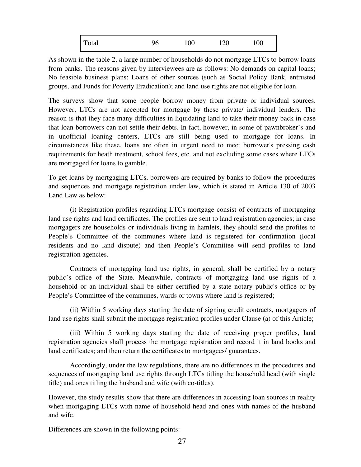| Total<br>120<br>100<br>96 | 100 <sub>1</sub> |
|---------------------------|------------------|
|---------------------------|------------------|

As shown in the table 2, a large number of households do not mortgage LTCs to borrow loans from banks. The reasons given by interviewees are as follows: No demands on capital loans; No feasible business plans; Loans of other sources (such as Social Policy Bank, entrusted groups, and Funds for Poverty Eradication); and land use rights are not eligible for loan.

The surveys show that some people borrow money from private or individual sources. However, LTCs are not accepted for mortgage by these private/ individual lenders. The reason is that they face many difficulties in liquidating land to take their money back in case that loan borrowers can not settle their debts. In fact, however, in some of pawnbroker's and in unofficial loaning centers, LTCs are still being used to mortgage for loans. In circumstances like these, loans are often in urgent need to meet borrower's pressing cash requirements for heath treatment, school fees, etc. and not excluding some cases where LTCs are mortgaged for loans to gamble.

To get loans by mortgaging LTCs, borrowers are required by banks to follow the procedures and sequences and mortgage registration under law, which is stated in Article 130 of 2003 Land Law as below:

(i) Registration profiles regarding LTCs mortgage consist of contracts of mortgaging land use rights and land certificates. The profiles are sent to land registration agencies; in case mortgagers are households or individuals living in hamlets, they should send the profiles to People's Committee of the communes where land is registered for confirmation (local residents and no land dispute) and then People's Committee will send profiles to land registration agencies.

Contracts of mortgaging land use rights, in general, shall be certified by a notary public's office of the State. Meanwhile, contracts of mortgaging land use rights of a household or an individual shall be either certified by a state notary public's office or by People's Committee of the communes, wards or towns where land is registered;

(ii) Within 5 working days starting the date of signing credit contracts, mortgagers of land use rights shall submit the mortgage registration profiles under Clause (a) of this Article;

(iii) Within 5 working days starting the date of receiving proper profiles, land registration agencies shall process the mortgage registration and record it in land books and land certificates; and then return the certificates to mortgagees/ guarantees.

Accordingly, under the law regulations, there are no differences in the procedures and sequences of mortgaging land use rights through LTCs titling the household head (with single title) and ones titling the husband and wife (with co-titles).

However, the study results show that there are differences in accessing loan sources in reality when mortgaging LTCs with name of household head and ones with names of the husband and wife.

Differences are shown in the following points: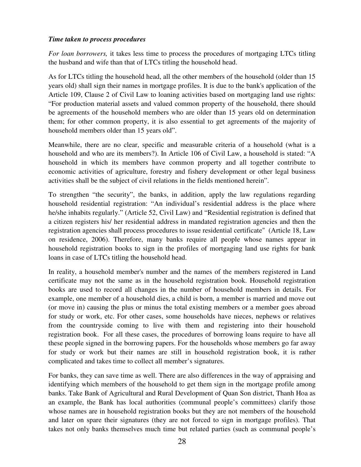#### *Time taken to process procedures*

*For loan borrowers,* it takes less time to process the procedures of mortgaging LTCs titling the husband and wife than that of LTCs titling the household head.

As for LTCs titling the household head, all the other members of the household (older than 15 years old) shall sign their names in mortgage profiles. It is due to the bank's application of the Article 109, Clause 2 of Civil Law to loaning activities based on mortgaging land use rights: "For production material assets and valued common property of the household, there should be agreements of the household members who are older than 15 years old on determination them; for other common property, it is also essential to get agreements of the majority of household members older than 15 years old".

Meanwhile, there are no clear, specific and measurable criteria of a household (what is a household and who are its members?). In Article 106 of Civil Law, a household is stated: "A household in which its members have common property and all together contribute to economic activities of agriculture, forestry and fishery development or other legal business activities shall be the subject of civil relations in the fields mentioned herein".

To strengthen "the security", the banks, in addition, apply the law regulations regarding household residential registration: "An individual's residential address is the place where he/she inhabits regularly." (Article 52, Civil Law) and "Residential registration is defined that a citizen registers his/ her residential address in mandated registration agencies and then the registration agencies shall process procedures to issue residential certificate" (Article 18, Law on residence, 2006). Therefore, many banks require all people whose names appear in household registration books to sign in the profiles of mortgaging land use rights for bank loans in case of LTCs titling the household head.

In reality, a household member's number and the names of the members registered in Land certificate may not the same as in the household registration book. Household registration books are used to record all changes in the number of household members in details. For example, one member of a household dies, a child is born, a member is married and move out (or move in) causing the plus or minus the total existing members or a member goes abroad for study or work, etc. For other cases, some households have nieces, nephews or relatives from the countryside coming to live with them and registering into their household registration book. For all these cases, the procedures of borrowing loans require to have all these people signed in the borrowing papers. For the households whose members go far away for study or work but their names are still in household registration book, it is rather complicated and takes time to collect all member's signatures.

For banks, they can save time as well. There are also differences in the way of appraising and identifying which members of the household to get them sign in the mortgage profile among banks. Take Bank of Agricultural and Rural Development of Quan Son district, Thanh Hoa as an example, the Bank has local authorities (communal people's committees) clarify those whose names are in household registration books but they are not members of the household and later on spare their signatures (they are not forced to sign in mortgage profiles). That takes not only banks themselves much time but related parties (such as communal people's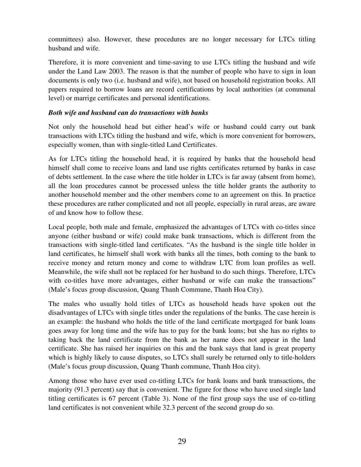committees) also. However, these procedures are no longer necessary for LTCs titling husband and wife.

Therefore, it is more convenient and time-saving to use LTCs titling the husband and wife under the Land Law 2003. The reason is that the number of people who have to sign in loan documents is only two (i.e. husband and wife), not based on household registration books. All papers required to borrow loans are record certifications by local authorities (at communal level) or marrige certificates and personal identifications.

#### *Both wife and husband can do transactions with banks*

Not only the household head but either head's wife or husband could carry out bank transactions with LTCs titling the husband and wife, which is more convenient for borrowers, especially women, than with single-titled Land Certificates.

As for LTCs titling the household head, it is required by banks that the household head himself shall come to receive loans and land use rights certificates returned by banks in case of debts settlement. In the case where the title holder in LTCs is far away (absent from home), all the loan procedures cannot be processed unless the title holder grants the authority to another household member and the other members come to an agreement on this. In practice these procedures are rather complicated and not all people, especially in rural areas, are aware of and know how to follow these.

Local people, both male and female, emphasized the advantages of LTCs with co-titles since anyone (either husband or wife) could make bank transactions, which is different from the transactions with single-titled land certificates. "As the husband is the single title holder in land certificates, he himself shall work with banks all the times, both coming to the bank to receive money and return money and come to withdraw LTC from loan profiles as well. Meanwhile, the wife shall not be replaced for her husband to do such things. Therefore, LTCs with co-titles have more advantages, either husband or wife can make the transactions" (Male's focus group discussion, Quang Thanh Commune, Thanh Hoa City).

The males who usually hold titles of LTCs as household heads have spoken out the disadvantages of LTCs with single titles under the regulations of the banks. The case herein is an example: the husband who holds the title of the land certificate mortgaged for bank loans goes away for long time and the wife has to pay for the bank loans; but she has no rights to taking back the land certificate from the bank as her name does not appear in the land certificate. She has raised her inquiries on this and the bank says that land is great property which is highly likely to cause disputes, so LTCs shall surely be returned only to title-holders (Male's focus group discussion, Quang Thanh commune, Thanh Hoa city).

Among those who have ever used co-titling LTCs for bank loans and bank transactions, the majority (91.3 percent) say that is convenient. The figure for those who have used single land titling certificates is 67 percent (Table 3). None of the first group says the use of co-titling land certificates is not convenient while 32.3 percent of the second group do so.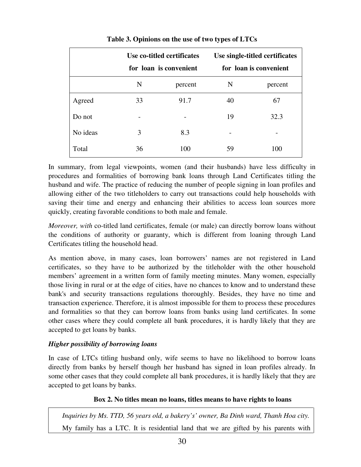|          |    | Use co-titled certificates<br>for loan is convenient |    | Use single-titled certificates<br>for loan is convenient |
|----------|----|------------------------------------------------------|----|----------------------------------------------------------|
|          | N  | percent                                              | N  | percent                                                  |
| Agreed   | 33 | 91.7                                                 | 40 | 67                                                       |
| Do not   |    |                                                      | 19 | 32.3                                                     |
| No ideas | 3  | 8.3                                                  |    |                                                          |
| Total    | 36 | 100                                                  | 59 | 100                                                      |

**Table 3. Opinions on the use of two types of LTCs**

In summary, from legal viewpoints, women (and their husbands) have less difficulty in procedures and formalities of borrowing bank loans through Land Certificates titling the husband and wife. The practice of reducing the number of people signing in loan profiles and allowing either of the two titleholders to carry out transactions could help households with saving their time and energy and enhancing their abilities to access loan sources more quickly, creating favorable conditions to both male and female.

*Moreover, with* co-titled land certificates, female (or male) can directly borrow loans without the conditions of authority or guaranty, which is different from loaning through Land Certificates titling the household head.

As mention above, in many cases, loan borrowers' names are not registered in Land certificates, so they have to be authorized by the titleholder with the other household members' agreement in a written form of family meeting minutes. Many women, especially those living in rural or at the edge of cities, have no chances to know and to understand these bank's and security transactions regulations thoroughly. Besides, they have no time and transaction experience. Therefore, it is almost impossible for them to process these procedures and formalities so that they can borrow loans from banks using land certificates. In some other cases where they could complete all bank procedures, it is hardly likely that they are accepted to get loans by banks.

## *Higher possibility of borrowing loans*

In case of LTCs titling husband only, wife seems to have no likelihood to borrow loans directly from banks by herself though her husband has signed in loan profiles already. In some other cases that they could complete all bank procedures, it is hardly likely that they are accepted to get loans by banks.

#### **Box 2. No titles mean no loans, titles means to have rights to loans**

*Inquiries by Ms. TTD, 56 years old, a bakery's' owner, Ba Dinh ward, Thanh Hoa city.* My family has a LTC. It is residential land that we are gifted by his parents with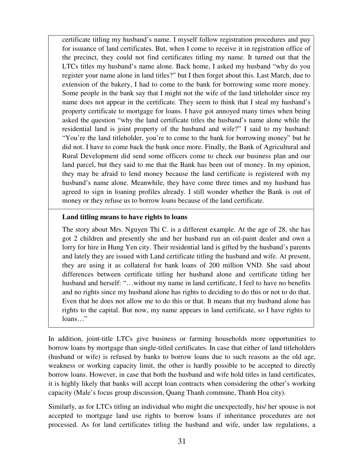certificate titling my husband's name. I myself follow registration procedures and pay for issuance of land certificates. But, when I come to receive it in registration office of the precinct, they could not find certificates titling my name. It turned out that the LTCs titles my husband's name alone. Back home, I asked my husband "why do you register your name alone in land titles?" but I then forget about this. Last March, due to extension of the bakery, I had to come to the bank for borrowing some more money. Some people in the bank say that I might not the wife of the land titleholder since my name does not appear in the certificate. They seem to think that I steal my husband's property certificate to mortgage for loans. I have got annoyed many times when being asked the question "why the land certificate titles the husband's name alone while the residential land is joint property of the husband and wife?" I said to my husband: "You're the land titleholder, you're to come to the bank for borrowing money" but he did not. I have to come back the bank once more. Finally, the Bank of Agricultural and Rural Development did send some officers come to check our business plan and our land parcel, but they said to me that the Bank has been out of money. In my opinion, they may be afraid to lend money because the land certificate is registered with my husband's name alone. Meanwhile, they have come three times and my husband has agreed to sign in loaning profiles already. I still wonder whether the Bank is out of money or they refuse us to borrow loans because of the land certificate.

#### **Land titling means to have rights to loans**

The story about Mrs. Nguyen Thi C. is a different example. At the age of 28, she has got 2 children and presently she and her husband run an oil-paint dealer and own a lorry for hire in Hung Yen city. Their residential land is gifted by the husband's parents and lately they are issued with Land certificate titling the husband and wife. At present, they are using it as collateral for bank loans of 200 million VND. She said about differences between certificate titling her husband alone and certificate titling her husband and herself: "...without my name in land certificate, I feel to have no benefits and no rights since my husband alone has rights to deciding to do this or not to do that. Even that he does not allow me to do this or that. It means that my husband alone has rights to the capital. But now, my name appears in land certificate, so I have rights to loans…"

In addition, joint-title LTCs give business or farming households more opportunities to borrow loans by mortgage than single-titled certificates. In case that either of land titleholders (husband or wife) is refused by banks to borrow loans due to such reasons as the old age, weakness or working capacity limit, the other is hardly possible to be accepted to directly borrow loans. However, in case that both the husband and wife hold titles in land certificates, it is highly likely that banks will accept loan contracts when considering the other's working capacity (Male's focus group discussion, Quang Thanh commune, Thanh Hoa city).

Similarly, as for LTCs titling an individual who might die unexpectedly, his/ her spouse is not accepted to mortgage land use rights to borrow loans if inheritance procedures are not processed. As for land certificates titling the husband and wife, under law regulations, a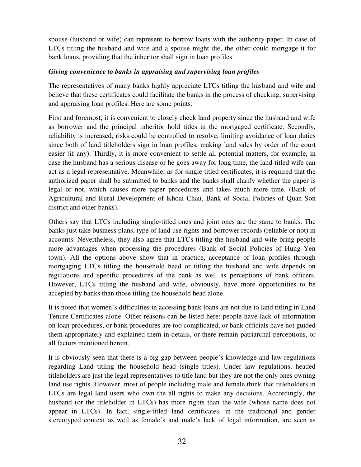spouse (husband or wife) can represent to borrow loans with the authority paper. In case of LTCs titling the husband and wife and a spouse might die, the other could mortgage it for bank loans, providing that the inheritor shall sign in loan profiles.

### *Giving convenience to banks in appraising and supervising loan profiles*

The representatives of many banks highly appreciate LTCs titling the husband and wife and believe that these certificates could facilitate the banks in the process of checking, supervising and appraising loan profiles. Here are some points:

First and foremost, it is convenient to closely check land property since the husband and wife as borrower and the principal inheritor hold titles in the mortgaged certificate. Secondly, reliability is increased, risks could be controlled to resolve, limiting avoidance of loan duties since both of land titleholders sign in loan profiles, making land sales by order of the court easier (if any). Thirdly, it is more convenient to settle all potential matters, for example, in case the husband has a serious disease or he goes away for long time, the land-titled wife can act as a legal representative. Meanwhile, as for single titled certificates, it is required that the authorized paper shall be submitted to banks and the banks shall clarify whether the paper is legal or not, which causes more paper procedures and takes much more time. (Bank of Agricultural and Rural Development of Khoai Chau, Bank of Social Policies of Quan Son district and other banks).

Others say that LTCs including single-titled ones and joint ones are the same to banks. The banks just take business plans, type of land use rights and borrower records (reliable or not) in accounts. Nevertheless, they also agree that LTCs titling the husband and wife bring people more advantages when processing the procedures (Bank of Social Policies of Hung Yen town). All the options above show that in practice, acceptance of loan profiles through mortgaging LTCs titling the household head or titling the husband and wife depends on regulations and specific procedures of the bank as well as perceptions of bank officers. However, LTCs titling the husband and wife, obviously, have more opportunities to be accepted by banks than those titling the household head alone.

It is noted that women's difficulties in accessing bank loans are not due to land titling in Land Tenure Certificates alone. Other reasons can be listed here: people have lack of information on loan procedures, or bank procedures are too complicated, or bank officials have not guided them appropriately and explained them in details, or there remain patriarchal perceptions, or all factors mentioned herein.

It is obviously seen that there is a big gap between people's knowledge and law regulations regarding Land titling the household head (single titles). Under law regulations, headed titleholders are just the legal representatives to title land but they are not the only ones owning land use rights. However, most of people including male and female think that titleholders in LTCs are legal land users who own the all rights to make any decisions. Accordingly, the husband (or the titleholder in LTCs) has more rights than the wife (whose name does not appear in LTCs). In fact, single-titled land certificates, in the traditional and gender stereotyped context as well as female's and male's lack of legal information, are seen as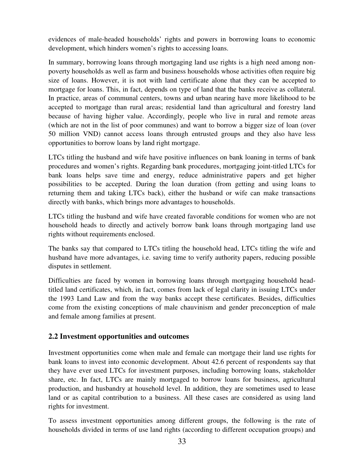evidences of male-headed households' rights and powers in borrowing loans to economic development, which hinders women's rights to accessing loans.

In summary, borrowing loans through mortgaging land use rights is a high need among nonpoverty households as well as farm and business households whose activities often require big size of loans. However, it is not with land certificate alone that they can be accepted to mortgage for loans. This, in fact, depends on type of land that the banks receive as collateral. In practice, areas of communal centers, towns and urban nearing have more likelihood to be accepted to mortgage than rural areas; residential land than agricultural and forestry land because of having higher value. Accordingly, people who live in rural and remote areas (which are not in the list of poor communes) and want to borrow a bigger size of loan (over 50 million VND) cannot access loans through entrusted groups and they also have less opportunities to borrow loans by land right mortgage.

LTCs titling the husband and wife have positive influences on bank loaning in terms of bank procedures and women's rights. Regarding bank procedures, mortgaging joint-titled LTCs for bank loans helps save time and energy, reduce administrative papers and get higher possibilities to be accepted. During the loan duration (from getting and using loans to returning them and taking LTCs back), either the husband or wife can make transactions directly with banks, which brings more advantages to households.

LTCs titling the husband and wife have created favorable conditions for women who are not household heads to directly and actively borrow bank loans through mortgaging land use rights without requirements enclosed.

The banks say that compared to LTCs titling the household head, LTCs titling the wife and husband have more advantages, i.e. saving time to verify authority papers, reducing possible disputes in settlement.

Difficulties are faced by women in borrowing loans through mortgaging household headtitled land certificates, which, in fact, comes from lack of legal clarity in issuing LTCs under the 1993 Land Law and from the way banks accept these certificates. Besides, difficulties come from the existing conceptions of male chauvinism and gender preconception of male and female among families at present.

## **2.2 Investment opportunities and outcomes**

Investment opportunities come when male and female can mortgage their land use rights for bank loans to invest into economic development. About 42.6 percent of respondents say that they have ever used LTCs for investment purposes, including borrowing loans, stakeholder share, etc. In fact, LTCs are mainly mortgaged to borrow loans for business, agricultural production, and husbandry at household level. In addition, they are sometimes used to lease land or as capital contribution to a business. All these cases are considered as using land rights for investment.

To assess investment opportunities among different groups, the following is the rate of households divided in terms of use land rights (according to different occupation groups) and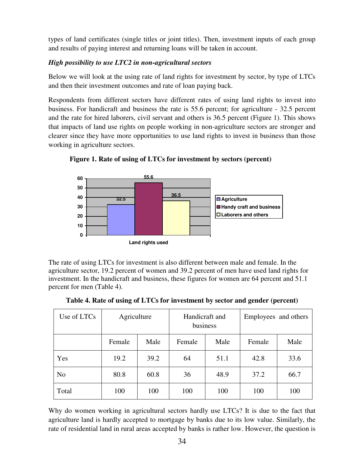types of land certificates (single titles or joint titles). Then, investment inputs of each group and results of paying interest and returning loans will be taken in account.

## *High possibility to use LTC2 in non-agricultural sectors*

Below we will look at the using rate of land rights for investment by sector, by type of LTCs and then their investment outcomes and rate of loan paying back.

Respondents from different sectors have different rates of using land rights to invest into business. For handicraft and business the rate is 55.6 percent; for agriculture - 32.5 percent and the rate for hired laborers, civil servant and others is 36.5 percent (Figure 1). This shows that impacts of land use rights on people working in non-agriculture sectors are stronger and clearer since they have more opportunities to use land rights to invest in business than those working in agriculture sectors.



**Figure 1. Rate of using of LTCs for investment by sectors (percent)** 

The rate of using LTCs for investment is also different between male and female. In the agriculture sector, 19.2 percent of women and 39.2 percent of men have used land rights for investment. In the handicraft and business, these figures for women are 64 percent and 51.1 percent for men (Table 4).

| Use of LTCs    | Agriculture |      | Handicraft and<br>business |      | Employees and others |      |
|----------------|-------------|------|----------------------------|------|----------------------|------|
|                | Female      | Male | Female                     | Male | Female               | Male |
| Yes            | 19.2        | 39.2 | 64                         | 51.1 | 42.8                 | 33.6 |
| N <sub>o</sub> | 80.8        | 60.8 | 36                         | 48.9 | 37.2                 | 66.7 |
| Total          | 100         | 100  | 100                        | 100  | 100                  | 100  |

**Table 4. Rate of using of LTCs for investment by sector and gender (percent)** 

Why do women working in agricultural sectors hardly use LTCs? It is due to the fact that agriculture land is hardly accepted to mortgage by banks due to its low value. Similarly, the rate of residential land in rural areas accepted by banks is rather low. However, the question is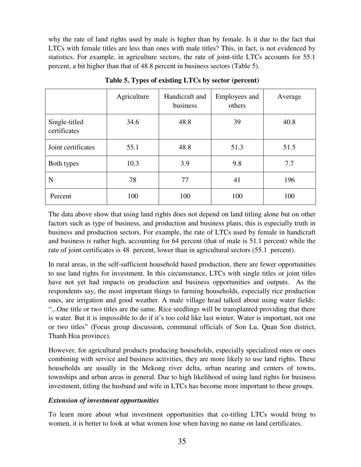why the rate of land rights used by male is higher than by female. Is it due to the fact that LTCs with female titles are less than ones with male titles? This, in fact, is not evidenced by statistics. For example, in agriculture sectors, the rate of joint-title LTCs accounts for 55.1 percent, a bit higher than that of 48.8 percent in business sectors (Table 5).

|                               | Agriculture | Handicraft and<br>business | <b>Employees</b> and<br>others | Average |
|-------------------------------|-------------|----------------------------|--------------------------------|---------|
| Single-titled<br>certificates | 34.6        | 48.8                       | 39                             | 40.8    |
| Joint certificates            | 55.1        | 48.8                       | 51.3                           | 51.5    |
| Both types                    | 10.3        | 3.9                        | 9.8                            | 7.7     |
| N                             | 78          | 77                         | 41                             | 196     |
| Percent                       | 100         | 100                        | 100                            | 100     |

**Table 5. Types of existing LTCs by sector (percent)**

The data above show that using land rights does not depend on land titling alone but on other factors such as type of business, and production and business plans, this is especially truth in business and production sectors. For example, the rate of LTCs used by female in handicraft and business is rather high, accounting for 64 percent (that of male is 51.1 percent) while the rate of joint certificates is 48 percent, lower than in agricultural sectors (55.1 percent).

In rural areas, in the self-sufficient household based production, there are fewer opportunities to use land rights for investment. In this circumstance, LTCs with single titles or joint titles have not yet had impacts on production and business opportunities and outputs. As the respondents say, the most important things to farming households, especially rice production ones, are irrigation and good weather. A male village head talked about using water fields: "...One title or two titles are the same. Rice seedlings will be transplanted providing that there is water. But it is impossible to do if it's too cold like last winter. Water is important, not one or two titles" (Focus group discussion, communal officials of Son Lu, Quan Son district, Thanh Hoa province).

However, for agricultural products producing households, especially specialized ones or ones combining with service and business activities, they are more likely to use land rights. These households are usually in the Mekong river delta, urban nearing and centers of towns, townships and urban areas in general. Due to high likelihood of using land rights for business investment, titling the husband and wife in LTCs has become more important to these groups.

## *Extension of investment opportunities*

To learn more about what investment opportunities that co-titling LTCs would bring to women, it is better to look at what women lose when having no name on land certificates.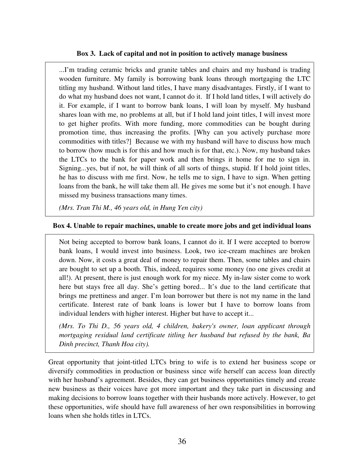#### **Box 3. Lack of capital and not in position to actively manage business**

...I'm trading ceramic bricks and granite tables and chairs and my husband is trading wooden furniture. My family is borrowing bank loans through mortgaging the LTC titling my husband. Without land titles, I have many disadvantages. Firstly, if I want to do what my husband does not want, I cannot do it. If I hold land titles, I will actively do it. For example, if I want to borrow bank loans, I will loan by myself. My husband shares loan with me, no problems at all, but if I hold land joint titles, I will invest more to get higher profits. With more funding, more commodities can be bought during promotion time, thus increasing the profits. [Why can you actively purchase more commodities with titles?] Because we with my husband will have to discuss how much to borrow (how much is for this and how much is for that, etc.). Now, my husband takes the LTCs to the bank for paper work and then brings it home for me to sign in. Signing...yes, but if not, he will think of all sorts of things, stupid. If I hold joint titles, he has to discuss with me first. Now, he tells me to sign, I have to sign. When getting loans from the bank, he will take them all. He gives me some but it's not enough. I have missed my business transactions many times.

*(Mrs. Tran Thi M., 46 years old, in Hung Yen city)* 

## **Box 4. Unable to repair machines, unable to create more jobs and get individual loans**

Not being accepted to borrow bank loans, I cannot do it. If I were accepted to borrow bank loans, I would invest into business. Look, two ice-cream machines are broken down. Now, it costs a great deal of money to repair them. Then, some tables and chairs are bought to set up a booth. This, indeed, requires some money (no one gives credit at all!). At present, there is just enough work for my niece. My in-law sister come to work here but stays free all day. She's getting bored... It's due to the land certificate that brings me prettiness and anger. I'm loan borrower but there is not my name in the land certificate. Interest rate of bank loans is lower but I have to borrow loans from individual lenders with higher interest. Higher but have to accept it...

*(Mrs. To Thi D., 56 years old, 4 children, bakery's owner, loan applicant through mortgaging residual land certificate titling her husband but refused by the bank, Ba Dinh precinct, Thanh Hoa city).* 

Great opportunity that joint-titled LTCs bring to wife is to extend her business scope or diversify commodities in production or business since wife herself can access loan directly with her husband's agreement. Besides, they can get business opportunities timely and create new business as their voices have got more important and they take part in discussing and making decisions to borrow loans together with their husbands more actively. However, to get these opportunities, wife should have full awareness of her own responsibilities in borrowing loans when she holds titles in LTCs.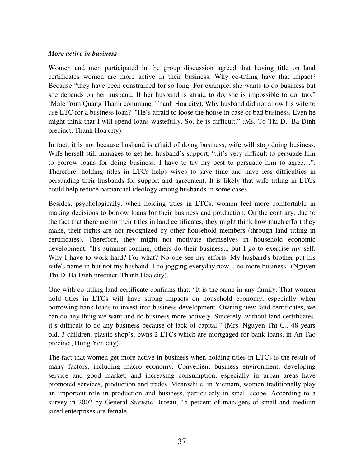#### *More active in business*

Women and men participated in the group discussion agreed that having title on land certificates women are more active in their business. Why co-titling have that impact? Because "they have been constrained for so long. For example, she wants to do business but she depends on her husband. If her husband is afraid to do, she is impossible to do, too." (Male from Quang Thanh commune, Thanh Hoa city). Why husband did not allow his wife to use LTC for a business loan? "He's afraid to loose the house in case of bad business. Even he might think that I will spend loans wastefully. So, he is difficult." (Ms. To Thi D., Ba Dinh precinct, Thanh Hoa city).

In fact, it is not because husband is afraid of doing business, wife will stop doing business. Wife herself still manages to get her husband's support, "..it's very difficult to persuade him to borrow loans for doing business. I have to try my best to persuade him to agree…". Therefore, holding titles in LTCs helps wives to save time and have less difficulties in persuading their husbands for support and agreement. It is likely that wife titling in LTCs could help reduce patriarchal ideology among husbands in some cases.

Besides, psychologically, when holding titles in LTCs, women feel more comfortable in making decisions to borrow loans for their business and production. On the contrary, due to the fact that there are no their titles in land certificates, they might think how much effort they make, their rights are not recognized by other household members (through land titling in certificates). Therefore, they might not motivate themselves in household economic development. "It's summer coming, others do their business.., but I go to exercise my self. Why I have to work hard? For what? No one see my efforts. My husband's brother put his wife's name in but not my husband. I do jogging everyday now... no more business" (Nguyen Thi D. Ba Dinh precinct, Thanh Hoa city).

One with co-titling land certificate confirms that: "It is the same in any family. That women hold titles in LTCs will have strong impacts on household economy, especially when borrowing bank loans to invest into business development. Owning new land certificates, we can do any thing we want and do business more actively. Sincerely, without land certificates, it's difficult to do any business because of lack of capital." (Mrs. Nguyen Thi G., 48 years old, 3 children, plastic shop's, owns 2 LTCs which are mortgaged for bank loans, in An Tao precinct, Hung Yen city).

The fact that women get more active in business when holding titles in LTCs is the result of many factors, including macro economy. Convenient business environment, developing service and good market, and increasing consumption, especially in urban areas have promoted services, production and trades. Meanwhile, in Vietnam, women traditionally play an important role in production and business, particularly in small scope. According to a survey in 2002 by General Statistic Bureau, 45 percent of managers of small and medium sized enterprises are female.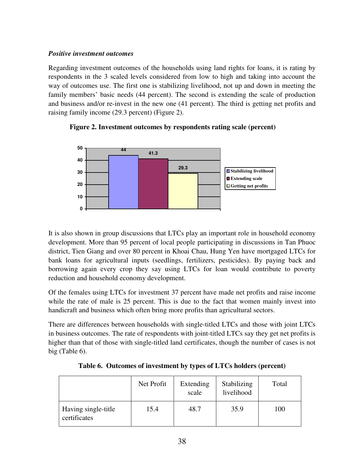#### *Positive investment outcomes*

Regarding investment outcomes of the households using land rights for loans, it is rating by respondents in the 3 scaled levels considered from low to high and taking into account the way of outcomes use. The first one is stabilizing livelihood, not up and down in meeting the family members' basic needs (44 percent). The second is extending the scale of production and business and/or re-invest in the new one (41 percent). The third is getting net profits and raising family income (29.3 percent) (Figure 2).





It is also shown in group discussions that LTCs play an important role in household economy development. More than 95 percent of local people participating in discussions in Tan Phuoc district, Tien Giang and over 80 percent in Khoai Chau, Hung Yen have mortgaged LTCs for bank loans for agricultural inputs (seedlings, fertilizers, pesticides). By paying back and borrowing again every crop they say using LTCs for loan would contribute to poverty reduction and household economy development.

Of the females using LTCs for investment 37 percent have made net profits and raise income while the rate of male is 25 percent. This is due to the fact that women mainly invest into handicraft and business which often bring more profits than agricultural sectors.

There are differences between households with single-titled LTCs and those with joint LTCs in business outcomes. The rate of respondents with joint-titled LTCs say they get net profits is higher than that of those with single-titled land certificates, though the number of cases is not big (Table 6).

|                                     | Net Profit | Extending<br>scale | Stabilizing<br>livelihood | Total |
|-------------------------------------|------------|--------------------|---------------------------|-------|
| Having single-title<br>certificates | 15.4       | 48.7               | 35.9                      | 100   |

**Table 6. Outcomes of investment by types of LTCs holders (percent)**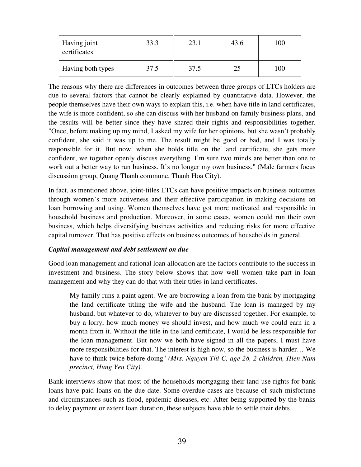| Having joint<br>certificates | 33.3 | 23.1 | 43.6 | 100 |
|------------------------------|------|------|------|-----|
| <b>Having both types</b>     | 37.5 | 37.5 |      | 100 |

The reasons why there are differences in outcomes between three groups of LTCs holders are due to several factors that cannot be clearly explained by quantitative data. However, the people themselves have their own ways to explain this, i.e. when have title in land certificates, the wife is more confident, so she can discuss with her husband on family business plans, and the results will be better since they have shared their rights and responsibilities together. "Once, before making up my mind, I asked my wife for her opinions, but she wasn't probably confident, she said it was up to me. The result might be good or bad, and I was totally responsible for it. But now, when she holds title on the land certificate, she gets more confident, we together openly discuss everything. I'm sure two minds are better than one to work out a better way to run business. It's no longer my own business." (Male farmers focus discussion group, Quang Thanh commune, Thanh Hoa City).

In fact, as mentioned above, joint-titles LTCs can have positive impacts on business outcomes through women's more activeness and their effective participation in making decisions on loan borrowing and using. Women themselves have got more motivated and responsible in household business and production. Moreover, in some cases, women could run their own business, which helps diversifying business activities and reducing risks for more effective capital turnover. That has positive effects on business outcomes of households in general.

#### *Capital management and debt settlement on due*

Good loan management and rational loan allocation are the factors contribute to the success in investment and business. The story below shows that how well women take part in loan management and why they can do that with their titles in land certificates.

My family runs a paint agent. We are borrowing a loan from the bank by mortgaging the land certificate titling the wife and the husband. The loan is managed by my husband, but whatever to do, whatever to buy are discussed together. For example, to buy a lorry, how much money we should invest, and how much we could earn in a month from it. Without the title in the land certificate, I would be less responsible for the loan management. But now we both have signed in all the papers, I must have more responsibilities for that. The interest is high now, so the business is harder… We have to think twice before doing" *(Mrs. Nguyen Thi C, age 28, 2 children, Hien Nam precinct, Hung Yen City)*.

Bank interviews show that most of the households mortgaging their land use rights for bank loans have paid loans on the due date. Some overdue cases are because of such misfortune and circumstances such as flood, epidemic diseases, etc. After being supported by the banks to delay payment or extent loan duration, these subjects have able to settle their debts.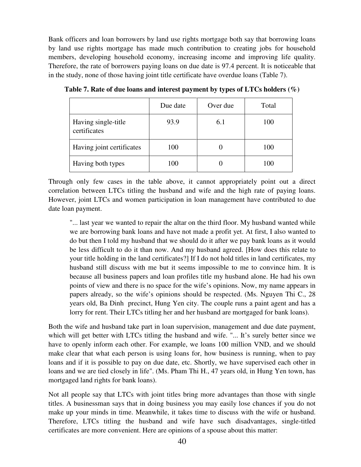Bank officers and loan borrowers by land use rights mortgage both say that borrowing loans by land use rights mortgage has made much contribution to creating jobs for household members, developing household economy, increasing income and improving life quality. Therefore, the rate of borrowers paying loans on due date is 97.4 percent. It is noticeable that in the study, none of those having joint title certificate have overdue loans (Table 7).

|                                     | Due date | Over due | Total |
|-------------------------------------|----------|----------|-------|
| Having single-title<br>certificates | 93.9     | 6.1      | 100   |
| Having joint certificates           | 100      |          | 100   |
| Having both types                   | 100      |          | 100   |

**Table 7. Rate of due loans and interest payment by types of LTCs holders (%)** 

Through only few cases in the table above, it cannot appropriately point out a direct correlation between LTCs titling the husband and wife and the high rate of paying loans. However, joint LTCs and women participation in loan management have contributed to due date loan payment.

"... last year we wanted to repair the altar on the third floor. My husband wanted while we are borrowing bank loans and have not made a profit yet. At first, I also wanted to do but then I told my husband that we should do it after we pay bank loans as it would be less difficult to do it than now. And my husband agreed. [How does this relate to your title holding in the land certificates?] If I do not hold titles in land certificates, my husband still discuss with me but it seems impossible to me to convince him. It is because all business papers and loan profiles title my husband alone. He had his own points of view and there is no space for the wife's opinions. Now, my name appears in papers already, so the wife's opinions should be respected. (Ms. Nguyen Thi C., 28 years old, Ba Dinh precinct, Hung Yen city. The couple runs a paint agent and has a lorry for rent. Their LTCs titling her and her husband are mortgaged for bank loans).

Both the wife and husband take part in loan supervision, management and due date payment, which will get better with LTCs titling the husband and wife. "... It's surely better since we have to openly inform each other. For example, we loans 100 million VND, and we should make clear that what each person is using loans for, how business is running, when to pay loans and if it is possible to pay on due date, etc. Shortly, we have supervised each other in loans and we are tied closely in life". (Ms. Pham Thi H., 47 years old, in Hung Yen town, has mortgaged land rights for bank loans).

Not all people say that LTCs with joint titles bring more advantages than those with single titles. A businessman says that in doing business you may easily lose chances if you do not make up your minds in time. Meanwhile, it takes time to discuss with the wife or husband. Therefore, LTCs titling the husband and wife have such disadvantages, single-titled certificates are more convenient. Here are opinions of a spouse about this matter: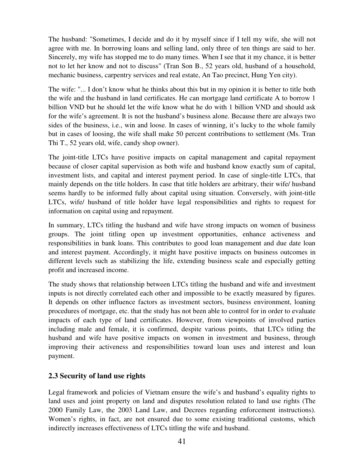The husband: "Sometimes, I decide and do it by myself since if I tell my wife, she will not agree with me. In borrowing loans and selling land, only three of ten things are said to her. Sincerely, my wife has stopped me to do many times. When I see that it my chance, it is better not to let her know and not to discuss" (Tran Son B., 52 years old, husband of a household, mechanic business, carpentry services and real estate, An Tao precinct, Hung Yen city).

The wife: "... I don't know what he thinks about this but in my opinion it is better to title both the wife and the husband in land certificates. He can mortgage land certificate A to borrow 1 billion VND but he should let the wife know what he do with 1 billion VND and should ask for the wife's agreement. It is not the husband's business alone. Because there are always two sides of the business, i.e., win and loose. In cases of winning, it's lucky to the whole family but in cases of loosing, the wife shall make 50 percent contributions to settlement (Ms. Tran Thi T., 52 years old, wife, candy shop owner).

The joint-title LTCs have positive impacts on capital management and capital repayment because of closer capital supervision as both wife and husband know exactly sum of capital, investment lists, and capital and interest payment period. In case of single-title LTCs, that mainly depends on the title holders. In case that title holders are arbitrary, their wife/ husband seems hardly to be informed fully about capital using situation. Conversely, with joint-title LTCs, wife/ husband of title holder have legal responsibilities and rights to request for information on capital using and repayment.

In summary, LTCs titling the husband and wife have strong impacts on women of business groups. The joint titling open up investment opportunities, enhance activeness and responsibilities in bank loans. This contributes to good loan management and due date loan and interest payment. Accordingly, it might have positive impacts on business outcomes in different levels such as stabilizing the life, extending business scale and especially getting profit and increased income.

The study shows that relationship between LTCs titling the husband and wife and investment inputs is not directly correlated each other and impossible to be exactly measured by figures. It depends on other influence factors as investment sectors, business environment, loaning procedures of mortgage, etc. that the study has not been able to control for in order to evaluate impacts of each type of land certificates. However, from viewpoints of involved parties including male and female, it is confirmed, despite various points, that LTCs titling the husband and wife have positive impacts on women in investment and business, through improving their activeness and responsibilities toward loan uses and interest and loan payment.

# **2.3 Security of land use rights**

Legal framework and policies of Vietnam ensure the wife's and husband's equality rights to land uses and joint property on land and disputes resolution related to land use rights (The 2000 Family Law, the 2003 Land Law, and Decrees regarding enforcement instructions). Women's rights, in fact, are not ensured due to some existing traditional customs, which indirectly increases effectiveness of LTCs titling the wife and husband.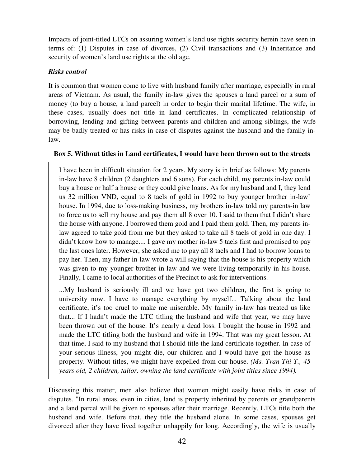Impacts of joint-titled LTCs on assuring women's land use rights security herein have seen in terms of: (1) Disputes in case of divorces, (2) Civil transactions and (3) Inheritance and security of women's land use rights at the old age.

## *Risks control*

It is common that women come to live with husband family after marriage, especially in rural areas of Vietnam. As usual, the family in-law gives the spouses a land parcel or a sum of money (to buy a house, a land parcel) in order to begin their marital lifetime. The wife, in these cases, usually does not title in land certificates. In complicated relationship of borrowing, lending and gifting between parents and children and among siblings, the wife may be badly treated or has risks in case of disputes against the husband and the family inlaw.

## **Box 5. Without titles in Land certificates, I would have been thrown out to the streets**

I have been in difficult situation for 2 years. My story is in brief as follows: My parents in-law have 8 children (2 daughters and 6 sons). For each child, my parents in-law could buy a house or half a house or they could give loans. As for my husband and I, they lend us 32 million VND, equal to 8 taels of gold in 1992 to buy younger brother in-law' house. In 1994, due to loss-making business, my brothers in-law told my parents-in law to force us to sell my house and pay them all 8 over 10. I said to them that I didn't share the house with anyone. I borrowed them gold and I paid them gold. Then, my parents inlaw agreed to take gold from me but they asked to take all 8 taels of gold in one day. I didn't know how to manage.... I gave my mother in-law 5 taels first and promised to pay the last ones later. However, she asked me to pay all 8 taels and I had to borrow loans to pay her. Then, my father in-law wrote a will saying that the house is his property which was given to my younger brother in-law and we were living temporarily in his house. Finally, I came to local authorities of the Precinct to ask for interventions.

...My husband is seriously ill and we have got two children, the first is going to university now. I have to manage everything by myself... Talking about the land certificate, it's too cruel to make me miserable. My family in-law has treated us like that... If I hadn't made the LTC titling the husband and wife that year, we may have been thrown out of the house. It's nearly a dead loss. I bought the house in 1992 and made the LTC titling both the husband and wife in 1994. That was my great lesson. At that time, I said to my husband that I should title the land certificate together. In case of your serious illness, you might die, our children and I would have got the house as property. Without titles, we might have expelled from our house. *(Ms. Tran Thi T., 45 years old, 2 children, tailor, owning the land certificate with joint titles since 1994).*

Discussing this matter, men also believe that women might easily have risks in case of disputes. "In rural areas, even in cities, land is property inherited by parents or grandparents and a land parcel will be given to spouses after their marriage. Recently, LTCs title both the husband and wife. Before that, they title the husband alone. In some cases, spouses get divorced after they have lived together unhappily for long. Accordingly, the wife is usually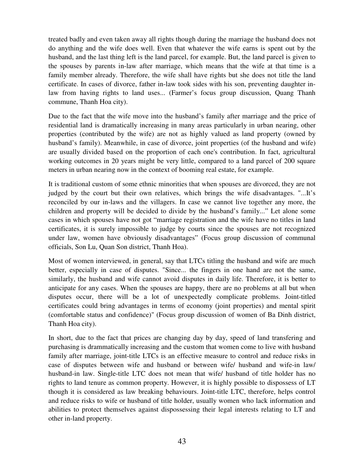treated badly and even taken away all rights though during the marriage the husband does not do anything and the wife does well. Even that whatever the wife earns is spent out by the husband, and the last thing left is the land parcel, for example. But, the land parcel is given to the spouses by parents in-law after marriage, which means that the wife at that time is a family member already. Therefore, the wife shall have rights but she does not title the land certificate. In cases of divorce, father in-law took sides with his son, preventing daughter inlaw from having rights to land uses... (Farmer's focus group discussion, Quang Thanh commune, Thanh Hoa city).

Due to the fact that the wife move into the husband's family after marriage and the price of residential land is dramatically increasing in many areas particularly in urban nearing, other properties (contributed by the wife) are not as highly valued as land property (owned by husband's family). Meanwhile, in case of divorce, joint properties (of the husband and wife) are usually divided based on the proportion of each one's contribution. In fact, agricultural working outcomes in 20 years might be very little, compared to a land parcel of 200 square meters in urban nearing now in the context of booming real estate, for example.

It is traditional custom of some ethnic minorities that when spouses are divorced, they are not judged by the court but their own relatives, which brings the wife disadvantages. "...It's reconciled by our in-laws and the villagers. In case we cannot live together any more, the children and property will be decided to divide by the husband's family..." Let alone some cases in which spouses have not got "marriage registration and the wife have no titles in land certificates, it is surely impossible to judge by courts since the spouses are not recognized under law, women have obviously disadvantages" (Focus group discussion of communal officials, Son Lu, Quan Son district, Thanh Hoa).

Most of women interviewed, in general, say that LTCs titling the husband and wife are much better, especially in case of disputes. "Since... the fingers in one hand are not the same, similarly, the husband and wife cannot avoid disputes in daily life. Therefore, it is better to anticipate for any cases. When the spouses are happy, there are no problems at all but when disputes occur, there will be a lot of unexpectedly complicate problems. Joint-titled certificates could bring advantages in terms of economy (joint properties) and mental spirit (comfortable status and confidence)" (Focus group discussion of women of Ba Dinh district, Thanh Hoa city).

In short, due to the fact that prices are changing day by day, speed of land transfering and purchasing is drammatically increasing and the custom that women come to live with husband family after marriage, joint-title LTCs is an effective measure to control and reduce risks in case of disputes between wife and husband or between wife/ husband and wife-in law/ husband-in law. Single-title LTC does not mean that wife/ husband of title holder has no rights to land tenure as common property. However, it is highly possible to dispossess of LT though it is considered as law breaking behaviours. Joint-title LTC, therefore, helps control and reduce risks to wife or husband of title holder, usually women who lack information and abilities to protect themselves against dispossessing their legal interests relating to LT and other in-land property.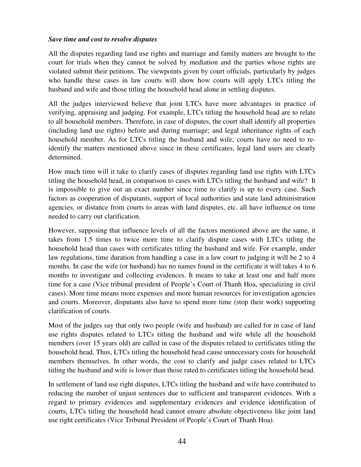#### *Save time and cost to resolve disputes*

All the disputes regarding land use rights and marriage and family matters are brought to the court for trials when they cannot be solved by mediation and the parties whose rights are violated submit their petitions. The viewpoints given by court officials, particularly by judges who handle these cases in law courts will show how courts will apply LTCs titling the husband and wife and those titling the household head alone in settling disputes.

All the judges interviewed believe that joint LTCs have more advantages in practice of verifying, appraising and judging. For example, LTCs titling the household head are to relate to all household members. Therefore, in case of disputes, the court shall identify all properties (including land use rights) before and during marriage; and legal inheritance rights of each household member. As for LTCs titling the husband and wife, courts have no need to reidentify the matters mentioned above since in these certificates, legal land users are clearly determined.

How much time will it take to clarify cases of disputes regarding land use rights with LTCs titling the household head, in comparison to cases with LTCs titling the husband and wife? It is impossible to give out an exact number since time to clarify is up to every case. Such factors as cooperation of disputants, support of local authorities and state land administration agencies, or distance from courts to areas with land disputes, etc. all have influence on time needed to carry out clarification.

However, supposing that influence levels of all the factors mentioned above are the same, it takes from 1.5 times to twice more time to clarify dispute cases with LTCs titling the household head than cases with certificates titling the husband and wife. For example, under law regulations, time duration from handling a case in a law court to judging it will be 2 to 4 months. In case the wife (or husband) has no names found in the certificate it will takes 4 to 6 months to investigate and collecting evidences. It means to take at least one and half more time for a case (Vice tribunal president of People's Court of Thanh Hoa, specializing in civil cases). More time means more expenses and more human resources for investigation agencies and courts. Moreover, disputants also have to spend more time (stop their work) supporting clarification of courts.

Most of the judges say that only two people (wife and husband) are called for in case of land use rights disputes related to LTCs titling the husband and wife while all the household members (over 15 years old) are called in case of the disputes related to certificates titling the household head. Thus, LTCs titling the household head cause unnecessary costs for household members themselves. In other words, the cost to clarify and judge cases related to LTCs titling the husband and wife is lower than those rated to certificates titling the household head.

In settlement of land use right disputes, LTCs titling the husband and wife have contributed to reducing the number of unjust sentences due to sufficient and transparent evidences. With a regard to primary evidences and supplementary evidences and evidence identification of courts, LTCs titling the household head cannot ensure absolute objectiveness like joint land use right certificates (Vice Tribunal President of People's Court of Thanh Hoa).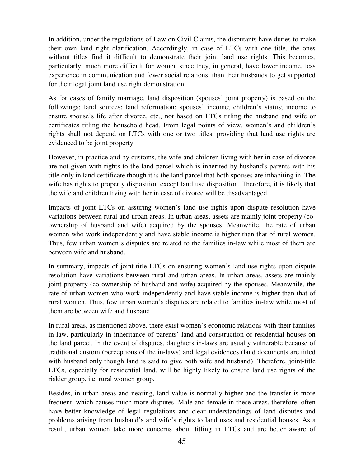In addition, under the regulations of Law on Civil Claims, the disputants have duties to make their own land right clarification. Accordingly, in case of LTCs with one title, the ones without titles find it difficult to demonstrate their joint land use rights. This becomes, particularly, much more difficult for women since they, in general, have lower income, less experience in communication and fewer social relations than their husbands to get supported for their legal joint land use right demonstration.

As for cases of family marriage, land disposition (spouses' joint property) is based on the followings: land sources; land reformation; spouses' income; children's status; income to ensure spouse's life after divorce, etc., not based on LTCs titling the husband and wife or certificates titling the household head. From legal points of view, women's and children's rights shall not depend on LTCs with one or two titles, providing that land use rights are evidenced to be joint property.

However, in practice and by customs, the wife and children living with her in case of divorce are not given with rights to the land parcel which is inherited by husband's parents with his title only in land certificate though it is the land parcel that both spouses are inhabiting in. The wife has rights to property disposition except land use disposition. Therefore, it is likely that the wife and children living with her in case of divorce will be disadvantaged.

Impacts of joint LTCs on assuring women's land use rights upon dispute resolution have variations between rural and urban areas. In urban areas, assets are mainly joint property (coownership of husband and wife) acquired by the spouses. Meanwhile, the rate of urban women who work independently and have stable income is higher than that of rural women. Thus, few urban women's disputes are related to the families in-law while most of them are between wife and husband.

In summary, impacts of joint-title LTCs on ensuring women's land use rights upon dispute resolution have variations between rural and urban areas. In urban areas, assets are mainly joint property (co-ownership of husband and wife) acquired by the spouses. Meanwhile, the rate of urban women who work independently and have stable income is higher than that of rural women. Thus, few urban women's disputes are related to families in-law while most of them are between wife and husband.

In rural areas, as mentioned above, there exist women's economic relations with their families in-law, particularly in inheritance of parents' land and construction of residential houses on the land parcel. In the event of disputes, daughters in-laws are usually vulnerable because of traditional custom (perceptions of the in-laws) and legal evidences (land documents are titled with husband only though land is said to give both wife and husband). Therefore, joint-title LTCs, especially for residential land, will be highly likely to ensure land use rights of the riskier group, i.e. rural women group.

Besides, in urban areas and nearing, land value is normally higher and the transfer is more frequent, which causes much more disputes. Male and female in these areas, therefore, often have better knowledge of legal regulations and clear understandings of land disputes and problems arising from husband's and wife's rights to land uses and residential houses. As a result, urban women take more concerns about titling in LTCs and are better aware of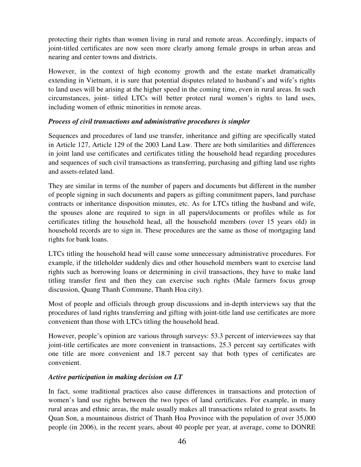protecting their rights than women living in rural and remote areas. Accordingly, impacts of joint-titled certificates are now seen more clearly among female groups in urban areas and nearing and center towns and districts.

However, in the context of high economy growth and the estate market dramatically extending in Vietnam, it is sure that potential disputes related to husband's and wife's rights to land uses will be arising at the higher speed in the coming time, even in rural areas. In such circumstances, joint- titled LTCs will better protect rural women's rights to land uses, including women of ethnic minorities in remote areas.

## *Process of civil transactions and administrative procedures is simpler*

Sequences and procedures of land use transfer, inheritance and gifting are specifically stated in Article 127, Article 129 of the 2003 Land Law. There are both similarities and differences in joint land use certificates and certificates titling the household head regarding procedures and sequences of such civil transactions as transferring, purchasing and gifting land use rights and assets-related land.

They are similar in terms of the number of papers and documents but different in the number of people signing in such documents and papers as gifting commitment papers, land purchase contracts or inheritance disposition minutes, etc. As for LTCs titling the husband and wife, the spouses alone are required to sign in all papers/documents or profiles while as for certificates titling the household head, all the household members (over 15 years old) in household records are to sign in. These procedures are the same as those of mortgaging land rights for bank loans.

LTCs titling the household head will cause some unnecessary administrative procedures. For example, if the titleholder suddenly dies and other household members want to exercise land rights such as borrowing loans or determining in civil transactions, they have to make land titling transfer first and then they can exercise such rights (Male farmers focus group discussion, Quang Thanh Commune, Thanh Hoa city).

Most of people and officials through group discussions and in-depth interviews say that the procedures of land rights transferring and gifting with joint-title land use certificates are more convenient than those with LTCs titling the household head.

However, people's opinion are various through surveys: 53.3 percent of interviewees say that joint-title certificates are more convenient in transactions, 25.3 percent say certificates with one title are more convenient and 18.7 percent say that both types of certificates are convenient.

## *Active participation in making decision on LT*

In fact, some traditional practices also cause differences in transactions and protection of women's land use rights between the two types of land certificates. For example, in many rural areas and ethnic areas, the male usually makes all transactions related to great assets. In Quan Son, a mountainous district of Thanh Hoa Province with the population of over 35,000 people (in 2006), in the recent years, about 40 people per year, at average, come to DONRE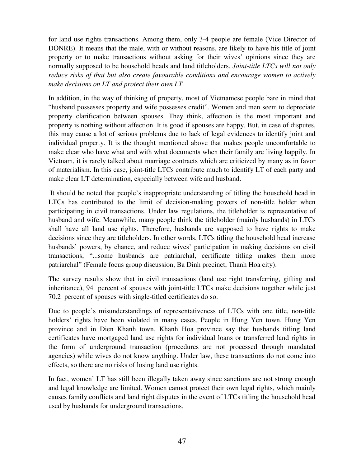for land use rights transactions. Among them, only 3-4 people are female (Vice Director of DONRE). It means that the male, with or without reasons, are likely to have his title of joint property or to make transactions without asking for their wives' opinions since they are normally supposed to be household heads and land titleholders. *Joint-title LTCs will not only reduce risks of that but also create favourable conditions and encourage women to actively make decisions on LT and protect their own LT.*

In addition, in the way of thinking of property, most of Vietnamese people bare in mind that "husband possesses property and wife possesses credit". Women and men seem to depreciate property clarification between spouses. They think, affection is the most important and property is nothing without affection. It is good if spouses are happy. But, in case of disputes, this may cause a lot of serious problems due to lack of legal evidences to identify joint and individual property. It is the thought mentioned above that makes people uncomfortable to make clear who have what and with what documents when their family are living happily. In Vietnam, it is rarely talked about marriage contracts which are criticized by many as in favor of materialism. In this case, joint-title LTCs contribute much to identify LT of each party and make clear LT determination, especially between wife and husband.

 It should be noted that people's inappropriate understanding of titling the household head in LTCs has contributed to the limit of decision-making powers of non-title holder when participating in civil transactions. Under law regulations, the titleholder is representative of husband and wife. Meanwhile, many people think the titleholder (mainly husbands) in LTCs shall have all land use rights. Therefore, husbands are supposed to have rights to make decisions since they are titleholders. In other words, LTCs titling the household head increase husbands' powers, by chance, and reduce wives' participation in making decisions on civil transactions, "...some husbands are patriarchal, certificate titling makes them more patriarchal" (Female focus group discussion, Ba Dinh precinct, Thanh Hoa city).

The survey results show that in civil transactions (land use right transferring, gifting and inheritance), 94 percent of spouses with joint-title LTCs make decisions together while just 70.2 percent of spouses with single-titled certificates do so.

Due to people's misunderstandings of representativeness of LTCs with one title, non-title holders' rights have been violated in many cases. People in Hung Yen town, Hung Yen province and in Dien Khanh town, Khanh Hoa province say that husbands titling land certificates have mortgaged land use rights for individual loans or transferred land rights in the form of underground transaction (procedures are not processed through mandated agencies) while wives do not know anything. Under law, these transactions do not come into effects, so there are no risks of losing land use rights.

In fact, women' LT has still been illegally taken away since sanctions are not strong enough and legal knowledge are limited. Women cannot protect their own legal rights, which mainly causes family conflicts and land right disputes in the event of LTCs titling the household head used by husbands for underground transactions.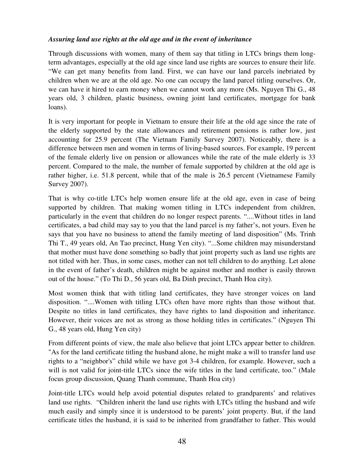## *Assuring land use rights at the old age and in the event of inheritance*

Through discussions with women, many of them say that titling in LTCs brings them longterm advantages, especially at the old age since land use rights are sources to ensure their life. "We can get many benefits from land. First, we can have our land parcels inebriated by children when we are at the old age. No one can occupy the land parcel titling ourselves. Or, we can have it hired to earn money when we cannot work any more (Ms. Nguyen Thi G., 48 years old, 3 children, plastic business, owning joint land certificates, mortgage for bank loans).

It is very important for people in Vietnam to ensure their life at the old age since the rate of the elderly supported by the state allowances and retirement pensions is rather low, just accounting for 25.9 percent (The Vietnam Family Survey 2007). Noticeably, there is a difference between men and women in terms of living-based sources. For example, 19 percent of the female elderly live on pension or allowances while the rate of the male elderly is 33 percent. Compared to the male, the number of female supported by children at the old age is rather higher, i.e. 51.8 percent, while that of the male is 26.5 percent (Vietnamese Family Survey 2007).

That is why co-title LTCs help women ensure life at the old age, even in case of being supported by children. That making women titling in LTCs independent from children, particularly in the event that children do no longer respect parents. "....Without titles in land certificates, a bad child may say to you that the land parcel is my father's, not yours. Even he says that you have no business to attend the family meeting of land disposition" (Ms. Trinh Thi T., 49 years old, An Tao precinct, Hung Yen city). "...Some children may misunderstand that mother must have done something so badly that joint property such as land use rights are not titled with her. Thus, in some cases, mother can not tell children to do anything. Let alone in the event of father's death, children might be against mother and mother is easily thrown out of the house." (To Thi D., 56 years old, Ba Dinh precinct, Thanh Hoa city).

Most women think that with titling land certificates, they have stronger voices on land disposition. "....Women with titling LTCs often have more rights than those without that. Despite no titles in land certificates, they have rights to land disposition and inheritance. However, their voices are not as strong as those holding titles in certificates." (Nguyen Thi G., 48 years old, Hung Yen city)

From different points of view, the male also believe that joint LTCs appear better to children. "As for the land certificate titling the husband alone, he might make a will to transfer land use rights to a "neighbor's" child while we have got 3-4 children, for example. However, such a will is not valid for joint-title LTCs since the wife titles in the land certificate, too." (Male focus group discussion, Quang Thanh commune, Thanh Hoa city)

Joint-title LTCs would help avoid potential disputes related to grandparents' and relatives land use rights. "Children inherit the land use rights with LTCs titling the husband and wife much easily and simply since it is understood to be parents' joint property. But, if the land certificate titles the husband, it is said to be inherited from grandfather to father. This would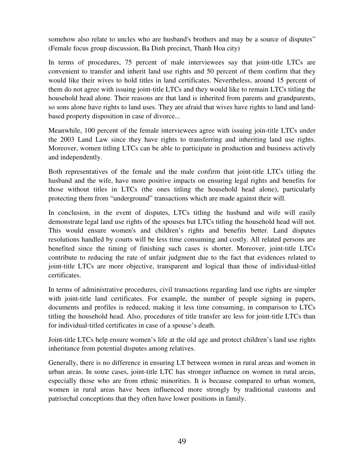somehow also relate to uncles who are husband's brothers and may be a source of disputes" (Female focus group discussion, Ba Dinh precinct, Thanh Hoa city)

In terms of procedures, 75 percent of male interviewees say that joint-title LTCs are convenient to transfer and inherit land use rights and 50 percent of them confirm that they would like their wives to hold titles in land certificates. Nevertheless, around 15 percent of them do not agree with issuing joint-title LTCs and they would like to remain LTCs titling the household head alone. Their reasons are that land is inherited from parents and grandparents, so sons alone have rights to land uses. They are afraid that wives have rights to land and landbased property disposition in case of divorce...

Meanwhile, 100 percent of the female interviewees agree with issuing join-title LTCs under the 2003 Land Law since they have rights to transferring and inheriting land use rights. Moreover, women titling LTCs can be able to participate in production and business actively and independently.

Both representatives of the female and the male confirm that joint-title LTCs titling the husband and the wife, have more positive impacts on ensuring legal rights and benefits for those without titles in LTCs (the ones titling the household head alone), particularly protecting them from "underground" transactions which are made against their will.

In conclusion, in the event of disputes, LTCs titling the husband and wife will easily demonstrate legal land use rights of the spouses but LTCs titling the household head will not. This would ensure women's and children's rights and benefits better. Land disputes resolutions handled by courts will be less time consuming and costly. All related persons are benefited since the timing of finishing such cases is shorter. Moreover, joint-title LTCs contribute to reducing the rate of unfair judgment due to the fact that evidences related to joint-title LTCs are more objective, transparent and logical than those of individual-titled certificates.

In terms of administrative procedures, civil transactions regarding land use rights are simpler with joint-title land certificates. For example, the number of people signing in papers, documents and profiles is reduced, making it less time consuming, in comparison to LTCs titling the household head. Also, procedures of title transfer are less for joint-title LTCs than for individual-titled certificates in case of a spouse's death.

Joint-title LTCs help ensure women's life at the old age and protect children's land use rights inheritance from potential disputes among relatives.

Generally, there is no difference in ensuring LT between women in rural areas and women in urban areas. In some cases, joint-title LTC has stronger influence on women in rural areas, especially those who are from ethnic minorities. It is because compared to urban women, women in rural areas have been influenced more strongly by traditional customs and patrisrchal conceptions that they often have lower positions in family.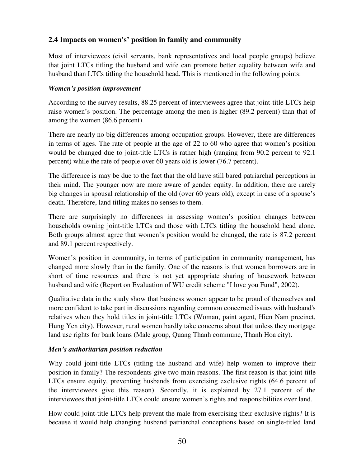# **2.4 Impacts on women's' position in family and community**

Most of interviewees (civil servants, bank representatives and local people groups) believe that joint LTCs titling the husband and wife can promote better equality between wife and husband than LTCs titling the household head. This is mentioned in the following points:

#### *Women's position improvement*

According to the survey results, 88.25 percent of interviewees agree that joint-title LTCs help raise women's position. The percentage among the men is higher (89.2 percent) than that of among the women (86.6 percent).

There are nearly no big differences among occupation groups. However, there are differences in terms of ages. The rate of people at the age of 22 to 60 who agree that women's position would be changed due to joint-title LTCs is rather high (ranging from 90.2 percent to 92.1 percent) while the rate of people over 60 years old is lower (76.7 percent).

The difference is may be due to the fact that the old have still bared patriarchal perceptions in their mind. The younger now are more aware of gender equity. In addition, there are rarely big changes in spousal relationship of the old (over 60 years old), except in case of a spouse's death. Therefore, land titling makes no senses to them.

There are surprisingly no differences in assessing women's position changes between households owning joint-title LTCs and those with LTCs titling the household head alone. Both groups almost agree that women's position would be changed**,** the rate is 87.2 percent and 89.1 percent respectively.

Women's position in community, in terms of participation in community management, has changed more slowly than in the family. One of the reasons is that women borrowers are in short of time resources and there is not yet appropriate sharing of housework between husband and wife (Report on Evaluation of WU credit scheme "I love you Fund", 2002).

Qualitative data in the study show that business women appear to be proud of themselves and more confident to take part in discussions regarding common concerned issues with husband's relatives when they hold titles in joint-title LTCs (Woman, paint agent, Hien Nam precinct, Hung Yen city). However, rural women hardly take concerns about that unless they mortgage land use rights for bank loans (Male group, Quang Thanh commune, Thanh Hoa city).

## *Men's authoritarian position reduction*

Why could joint-title LTCs (titling the husband and wife) help women to improve their position in family? The respondents give two main reasons. The first reason is that joint-title LTCs ensure equity, preventing husbands from exercising exclusive rights (64.6 percent of the interviewees give this reason). Secondly, it is explained by 27.1 percent of the interviewees that joint-title LTCs could ensure women's rights and responsibilities over land.

How could joint-title LTCs help prevent the male from exercising their exclusive rights? It is because it would help changing husband patriarchal conceptions based on single-titled land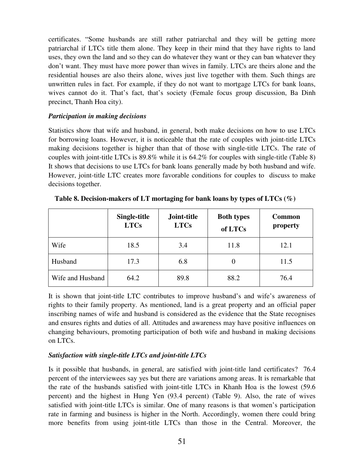certificates. "Some husbands are still rather patriarchal and they will be getting more patriarchal if LTCs title them alone. They keep in their mind that they have rights to land uses, they own the land and so they can do whatever they want or they can ban whatever they don't want. They must have more power than wives in family. LTCs are theirs alone and the residential houses are also theirs alone, wives just live together with them. Such things are unwritten rules in fact. For example, if they do not want to mortgage LTCs for bank loans, wives cannot do it. That's fact, that's society (Female focus group discussion, Ba Dinh precinct, Thanh Hoa city).

#### *Participation in making decisions*

Statistics show that wife and husband, in general, both make decisions on how to use LTCs for borrowing loans. However, it is noticeable that the rate of couples with joint-title LTCs making decisions together is higher than that of those with single-title LTCs. The rate of couples with joint-title LTCs is 89.8% while it is 64.2% for couples with single-title (Table 8) It shows that decisions to use LTCs for bank loans generally made by both husband and wife. However, joint-title LTC creates more favorable conditions for couples to discuss to make decisions together.

|                  | Single-title<br><b>LTCs</b> | Joint-title<br><b>LTCs</b> | <b>Both types</b><br>of LTCs | <b>Common</b><br>property |
|------------------|-----------------------------|----------------------------|------------------------------|---------------------------|
| Wife             | 18.5                        | 3.4                        | 11.8                         | 12.1                      |
| Husband          | 17.3                        | 6.8                        | 0                            | 11.5                      |
| Wife and Husband | 64.2                        | 89.8                       | 88.2                         | 76.4                      |

**Table 8. Decision-makers of LT mortaging for bank loans by types of LTCs (%)** 

It is shown that joint-title LTC contributes to improve husband's and wife's awareness of rights to their family property. As mentioned, land is a great property and an official paper inscribing names of wife and husband is considered as the evidence that the State recognises and ensures rights and duties of all. Attitudes and awareness may have positive influences on changing behaviours, promoting participation of both wife and husband in making decisions on LTCs.

## *Satisfaction with single-title LTCs and joint-title LTCs*

Is it possible that husbands, in general, are satisfied with joint-title land certificates? 76.4 percent of the interviewees say yes but there are variations among areas. It is remarkable that the rate of the husbands satisfied with joint-title LTCs in Khanh Hoa is the lowest (59.6 percent) and the highest in Hung Yen (93.4 percent) (Table 9). Also, the rate of wives satisfied with joint-title LTCs is similar. One of many reasons is that women's participation rate in farming and business is higher in the North. Accordingly, women there could bring more benefits from using joint-title LTCs than those in the Central. Moreover, the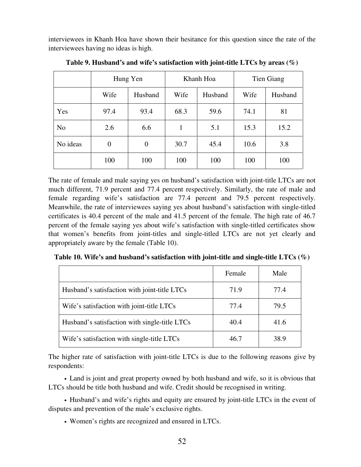interviewees in Khanh Hoa have shown their hesitance for this question since the rate of the interviewees having no ideas is high.

|                |                | Hung Yen | Khanh Hoa |         | Tien Giang |         |
|----------------|----------------|----------|-----------|---------|------------|---------|
|                | Wife           | Husband  | Wife      | Husband | Wife       | Husband |
| Yes            | 97.4           | 93.4     | 68.3      | 59.6    | 74.1       | 81      |
| N <sub>o</sub> | 2.6            | 6.6      | 1         | 5.1     | 15.3       | 15.2    |
| No ideas       | $\overline{0}$ | $\theta$ | 30.7      | 45.4    | 10.6       | 3.8     |
|                | 100            | 100      | 100       | 100     | 100        | 100     |

**Table 9. Husband's and wife's satisfaction with joint-title LTCs by areas (%)** 

The rate of female and male saying yes on husband's satisfaction with joint-title LTCs are not much different, 71.9 percent and 77.4 percent respectively. Similarly, the rate of male and female regarding wife's satisfaction are 77.4 percent and 79.5 percent respectively. Meanwhile, the rate of interviewees saying yes about husband's satisfaction with single-titled certificates is 40.4 percent of the male and 41.5 percent of the female. The high rate of 46.7 percent of the female saying yes about wife's satisfaction with single-titled certificates show that women's benefits from joint-titles and single-titled LTCs are not yet clearly and appropriately aware by the female (Table 10).

**Table 10. Wife's and husband's satisfaction with joint-title and single-title LTCs (%)** 

|                                               | Female | Male |
|-----------------------------------------------|--------|------|
| Husband's satisfaction with joint-title LTCs  | 71.9   | 77.4 |
| Wife's satisfaction with joint-title LTCs     | 77.4   | 79.5 |
| Husband's satisfaction with single-title LTCs | 40.4   | 41.6 |
| Wife's satisfaction with single-title LTCs    | 46.7   | 38.9 |

The higher rate of satisfaction with joint-title LTCs is due to the following reasons give by respondents:

• Land is joint and great property owned by both husband and wife, so it is obvious that LTCs should be title both husband and wife. Credit should be recognised in writing.

• Husband's and wife's rights and equity are ensured by joint-title LTCs in the event of disputes and prevention of the male's exclusive rights.

• Women's rights are recognized and ensured in LTCs.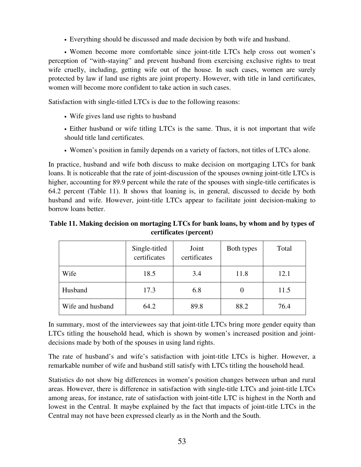• Everything should be discussed and made decision by both wife and husband.

• Women become more comfortable since joint-title LTCs help cross out women's perception of "with-staying" and prevent husband from exercising exclusive rights to treat wife cruelly, including, getting wife out of the house. In such cases, women are surely protected by law if land use rights are joint property. However, with title in land certificates, women will become more confident to take action in such cases.

Satisfaction with single-titled LTCs is due to the following reasons:

• Wife gives land use rights to husband

• Either husband or wife titling LTCs is the same. Thus, it is not important that wife should title land certificates.

• Women's position in family depends on a variety of factors, not titles of LTCs alone.

In practice, husband and wife both discuss to make decision on mortgaging LTCs for bank loans. It is noticeable that the rate of joint-discussion of the spouses owning joint-title LTCs is higher, accounting for 89.9 percent while the rate of the spouses with single-title certificates is 64.2 percent (Table 11). It shows that loaning is, in general, discussed to decide by both husband and wife. However, joint-title LTCs appear to facilitate joint decision-making to borrow loans better.

## **Table 11. Making decision on mortaging LTCs for bank loans, by whom and by types of certificates (percent)**

|                  | Single-titled<br>certificates | Joint<br>certificates | Both types | Total |
|------------------|-------------------------------|-----------------------|------------|-------|
| Wife             | 18.5                          | 3.4                   | 11.8       | 12.1  |
| Husband          | 17.3                          | 6.8                   |            | 11.5  |
| Wife and husband | 64.2                          | 89.8                  | 88.2       | 76.4  |

In summary, most of the interviewees say that joint-title LTCs bring more gender equity than LTCs titling the household head, which is shown by women's increased position and jointdecisions made by both of the spouses in using land rights.

The rate of husband's and wife's satisfaction with joint-title LTCs is higher. However, a remarkable number of wife and husband still satisfy with LTCs titling the household head.

Statistics do not show big differences in women's position changes between urban and rural areas. However, there is difference in satisfaction with single-title LTCs and joint-title LTCs among areas, for instance, rate of satisfaction with joint-title LTC is highest in the North and lowest in the Central. It maybe explained by the fact that impacts of joint-title LTCs in the Central may not have been expressed clearly as in the North and the South.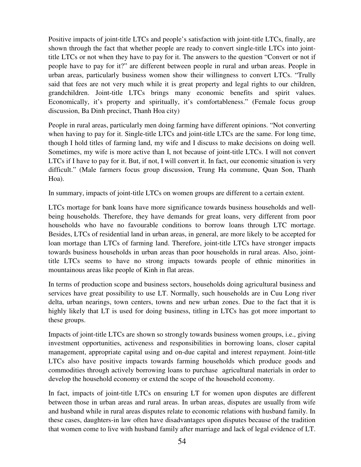Positive impacts of joint-title LTCs and people's satisfaction with joint-title LTCs, finally, are shown through the fact that whether people are ready to convert single-title LTCs into jointtitle LTCs or not when they have to pay for it. The answers to the question "Convert or not if people have to pay for it?" are different between people in rural and urban areas. People in urban areas, particularly business women show their willingness to convert LTCs. "Trully said that fees are not very much while it is great property and legal rights to our children, grandchildren. Joint-title LTCs brings many economic benefits and spirit values. Economically, it's property and spiritually, it's comfortableness." (Female focus group discussion, Ba Dinh precinct, Thanh Hoa city)

People in rural areas, particularly men doing farming have different opinions. "Not converting when having to pay for it. Single-title LTCs and joint-title LTCs are the same. For long time, though I hold titles of farming land, my wife and I discuss to make decisions on doing well. Sometimes, my wife is more active than I, not because of joint-title LTCs. I will not convert LTCs if I have to pay for it. But, if not, I will convert it. In fact, our economic situation is very difficult." (Male farmers focus group discussion, Trung Ha commune, Quan Son, Thanh Hoa).

In summary, impacts of joint-title LTCs on women groups are different to a certain extent.

LTCs mortage for bank loans have more significance towards business households and wellbeing households. Therefore, they have demands for great loans, very different from poor households who have no favourable conditions to borrow loans through LTC mortage. Besides, LTCs of residential land in urban areas, in general, are more likely to be accepted for loan mortage than LTCs of farming land. Therefore, joint-title LTCs have stronger impacts towards business households in urban areas than poor households in rural areas. Also, jointtitle LTCs seems to have no strong impacts towards people of ethnic minorities in mountainous areas like people of Kinh in flat areas.

In terms of production scope and business sectors, households doing agricultural business and services have great possibility to use LT. Normally, such households are in Cuu Long river delta, urban nearings, town centers, towns and new urban zones. Due to the fact that it is highly likely that LT is used for doing business, titling in LTCs has got more important to these groups.

Impacts of joint-title LTCs are shown so strongly towards business women groups, i.e., giving investment opportunities, activeness and responsibilities in borrowing loans, closer capital management, appropriate capital using and on-due capital and interest repayment. Joint-title LTCs also have positive impacts towards farming households which produce goods and commodities through actively borrowing loans to purchase agricultural materials in order to develop the household economy or extend the scope of the household economy.

In fact, impacts of joint-title LTCs on ensuring LT for women upon disputes are different between those in urban areas and rural areas. In urban areas, disputes are usually from wife and husband while in rural areas disputes relate to economic relations with husband family. In these cases, daughters-in law often have disadvantages upon disputes because of the tradition that women come to live with husband family after marriage and lack of legal evidence of LT.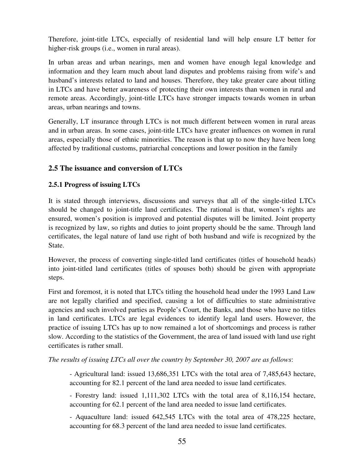Therefore, joint-title LTCs, especially of residential land will help ensure LT better for higher-risk groups (i.e., women in rural areas).

In urban areas and urban nearings, men and women have enough legal knowledge and information and they learn much about land disputes and problems raising from wife's and husband's interests related to land and houses. Therefore, they take greater care about titling in LTCs and have better awareness of protecting their own interests than women in rural and remote areas. Accordingly, joint-title LTCs have stronger impacts towards women in urban areas, urban nearings and towns.

Generally, LT insurance through LTCs is not much different between women in rural areas and in urban areas. In some cases, joint-title LTCs have greater influences on women in rural areas, especially those of ethnic minorities. The reason is that up to now they have been long affected by traditional customs, patriarchal conceptions and lower position in the family

# **2.5 The issuance and conversion of LTCs**

## **2.5.1 Progress of issuing LTCs**

It is stated through interviews, discussions and surveys that all of the single-titled LTCs should be changed to joint-title land certificates. The rational is that, women's rights are ensured, women's position is improved and potential disputes will be limited. Joint property is recognized by law, so rights and duties to joint property should be the same. Through land certificates, the legal nature of land use right of both husband and wife is recognized by the State.

However, the process of converting single-titled land certificates (titles of household heads) into joint-titled land certificates (titles of spouses both) should be given with appropriate steps.

First and foremost, it is noted that LTCs titling the household head under the 1993 Land Law are not legally clarified and specified, causing a lot of difficulties to state administrative agencies and such involved parties as People's Court, the Banks, and those who have no titles in land certificates. LTCs are legal evidences to identify legal land users. However, the practice of issuing LTCs has up to now remained a lot of shortcomings and process is rather slow. According to the statistics of the Government, the area of land issued with land use right certificates is rather small.

*The results of issuing LTCs all over the country by September 30, 2007 are as follows*:

- Agricultural land: issued 13,686,351 LTCs with the total area of 7,485,643 hectare, accounting for 82.1 percent of the land area needed to issue land certificates.

- Forestry land: issued 1,111,302 LTCs with the total area of 8,116,154 hectare, accounting for 62.1 percent of the land area needed to issue land certificates.

- Aquaculture land: issued 642,545 LTCs with the total area of 478,225 hectare, accounting for 68.3 percent of the land area needed to issue land certificates.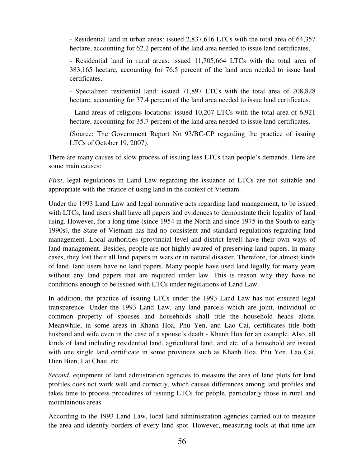- Residential land in urban areas: issued 2,837,616 LTCs with the total area of 64,357 hectare, accounting for 62.2 percent of the land area needed to issue land certificates.

- Residential land in rural areas: issued 11,705,664 LTCs with the total area of 383,165 hectare, accounting for 76.5 percent of the land area needed to issue land certificates.

- Specialized residential land: issued 71,897 LTCs with the total area of 208,828 hectare, accounting for 37.4 percent of the land area needed to issue land certificates.

- Land areas of religious locations: issued 10,207 LTCs with the total area of 6,921 hectare, accounting for 35.7 percent of the land area needed to issue land certificates.

(Source: The Government Report No 93/BC-CP regarding the practice of issuing LTCs of October 19, 2007).

There are many causes of slow process of issuing less LTCs than people's demands. Here are some main causes:

*First*, legal regulations in Land Law regarding the issuance of LTCs are not suitable and appropriate with the pratice of using land in the context of Vietnam.

Under the 1993 Land Law and legal normative acts regarding land management, to be issued with LTCs, land users shall have all papers and evidences to demonstrate their legality of land using. However, for a long time (since 1954 in the North and since 1975 in the South to early 1990s), the State of Vietnam has had no consistent and standard regulations regarding land management. Local authorities (provincial level and district level) have their own ways of land management. Besides, people are not highly awared of preserving land papers. In many cases, they lost their all land papers in wars or in natural disaster. Therefore, for almost kinds of land, land users have no land papers. Many people have used land legally for many years without any land papers that are required under law. This is reason why they have no conditions enough to be issued with LTCs under regulations of Land Law.

In addition, the practice of issuing LTCs under the 1993 Land Law has not ensured legal transparence. Under the 1993 Land Law, any land parcels which are joint, individual or common property of spouses and households shall title the household heads alone. Meanwhile, in some areas in Khanh Hoa, Phu Yen, and Lao Cai, certificates title both husband and wife even in the case of a spouse's death - Khanh Hoa for an example. Also, all kinds of land including residential land, agricultural land, and etc. of a household are issued with one single land certificate in some provinces such as Khanh Hoa, Phu Yen, Lao Cai, Dien Bien, Lai Chau, etc.

*Second*, equipment of land admistration agencies to measure the area of land plots for land profiles does not work well and correctly, which causes differences among land profiles and takes time to process procedures of issuing LTCs for people, particularly those in rural and mountainous areas.

According to the 1993 Land Law, local land administration agencies carried out to measure the area and identify borders of every land spot. However, measuring tools at that time are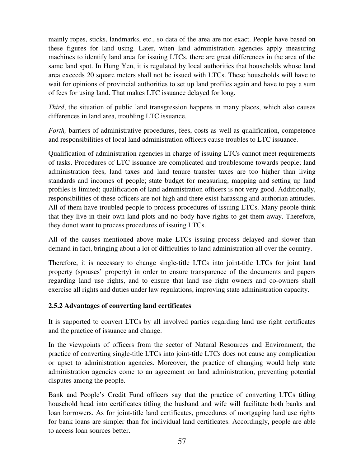mainly ropes, sticks, landmarks, etc., so data of the area are not exact. People have based on these figures for land using. Later, when land administration agencies apply measuring machines to identify land area for issuing LTCs, there are great differences in the area of the same land spot. In Hung Yen, it is regulated by local authorities that households whose land area exceeds 20 square meters shall not be issued with LTCs. These households will have to wait for opinions of provincial authorities to set up land profiles again and have to pay a sum of fees for using land. That makes LTC issuance delayed for long.

*Third*, the situation of public land transgression happens in many places, which also causes differences in land area, troubling LTC issuance.

*Forth,* barriers of administrative procedures, fees, costs as well as qualification, competence and responsibilities of local land administration officers cause troubles to LTC issuance.

Qualification of administration agencies in charge of issuing LTCs cannot meet requirements of tasks. Procedures of LTC issuance are complicated and troublesome towards people; land administration fees, land taxes and land tenure transfer taxes are too higher than living standards and incomes of people; state budget for measuring, mapping and setting up land profiles is limited; qualification of land administration officers is not very good. Additionally, responsibilities of these officers are not high and there exist harassing and authorian attitudes. All of them have troubled people to process procedures of issuing LTCs. Many people think that they live in their own land plots and no body have rights to get them away. Therefore, they donot want to process procedures of issuing LTCs.

All of the causes mentioned above make LTCs issuing process delayed and slower than demand in fact, bringing about a lot of difficulties to land administration all over the country.

Therefore, it is necessary to change single-title LTCs into joint-title LTCs for joint land property (spouses' property) in order to ensure transparence of the documents and papers regarding land use rights, and to ensure that land use right owners and co-owners shall exercise all rights and duties under law regulations, improving state administration capacity.

## **2.5.2 Advantages of converting land certificates**

It is supported to convert LTCs by all involved parties regarding land use right certificates and the practice of issuance and change.

In the viewpoints of officers from the sector of Natural Resources and Environment, the practice of converting single-title LTCs into joint-title LTCs does not cause any complication or upset to administration agencies. Moreover, the practice of changing would help state administration agencies come to an agreement on land administration, preventing potential disputes among the people.

Bank and People's Credit Fund officers say that the practice of converting LTCs titling household head into certificates titling the husband and wife will facilitate both banks and loan borrowers. As for joint-title land certificates, procedures of mortgaging land use rights for bank loans are simpler than for individual land certificates. Accordingly, people are able to access loan sources better.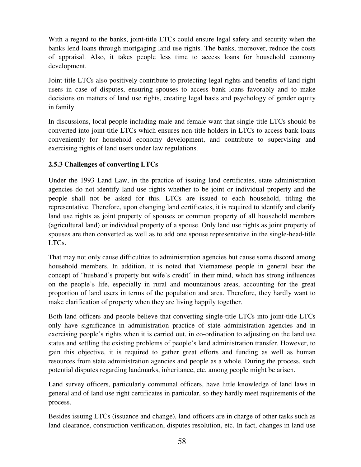With a regard to the banks, joint-title LTCs could ensure legal safety and security when the banks lend loans through mortgaging land use rights. The banks, moreover, reduce the costs of appraisal. Also, it takes people less time to access loans for household economy development.

Joint-title LTCs also positively contribute to protecting legal rights and benefits of land right users in case of disputes, ensuring spouses to access bank loans favorably and to make decisions on matters of land use rights, creating legal basis and psychology of gender equity in family.

In discussions, local people including male and female want that single-title LTCs should be converted into joint-title LTCs which ensures non-title holders in LTCs to access bank loans conveniently for household economy development, and contribute to supervising and exercising rights of land users under law regulations.

## **2.5.3 Challenges of converting LTCs**

Under the 1993 Land Law, in the practice of issuing land certificates, state administration agencies do not identify land use rights whether to be joint or individual property and the people shall not be asked for this. LTCs are issued to each household, titling the representative. Therefore, upon changing land certificates, it is required to identify and clarify land use rights as joint property of spouses or common property of all household members (agricultural land) or individual property of a spouse. Only land use rights as joint property of spouses are then converted as well as to add one spouse representative in the single-head-title LTCs.

That may not only cause difficulties to administration agencies but cause some discord among household members. In addition, it is noted that Vietnamese people in general bear the concept of "husband's property but wife's credit" in their mind, which has strong influences on the people's life, especially in rural and mountainous areas, accounting for the great proportion of land users in terms of the population and area. Therefore, they hardly want to make clarification of property when they are living happily together.

Both land officers and people believe that converting single-title LTCs into joint-title LTCs only have significance in administration practice of state administration agencies and in exercising people's rights when it is carried out, in co-ordination to adjusting on the land use status and settling the existing problems of people's land administration transfer. However, to gain this objective, it is required to gather great efforts and funding as well as human resources from state administration agencies and people as a whole. During the process, such potential disputes regarding landmarks, inheritance, etc. among people might be arisen.

Land survey officers, particularly communal officers, have little knowledge of land laws in general and of land use right certificates in particular, so they hardly meet requirements of the process.

Besides issuing LTCs (issuance and change), land officers are in charge of other tasks such as land clearance, construction verification, disputes resolution, etc. In fact, changes in land use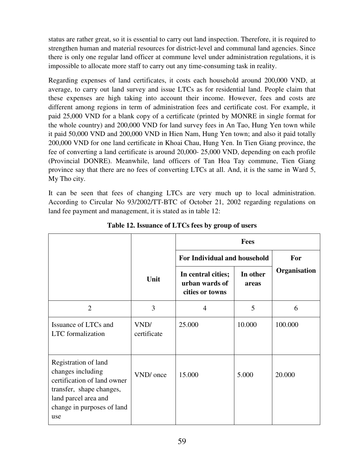status are rather great, so it is essential to carry out land inspection. Therefore, it is required to strengthen human and material resources for district-level and communal land agencies. Since there is only one regular land officer at commune level under administration regulations, it is impossible to allocate more staff to carry out any time-consuming task in reality.

Regarding expenses of land certificates, it costs each household around 200,000 VND, at average, to carry out land survey and issue LTCs as for residential land. People claim that these expenses are high taking into account their income. However, fees and costs are different among regions in term of administration fees and certificate cost. For example, it paid 25,000 VND for a blank copy of a certificate (printed by MONRE in single format for the whole country) and 200,000 VND for land survey fees in An Tao, Hung Yen town while it paid 50,000 VND and 200,000 VND in Hien Nam, Hung Yen town; and also it paid totally 200,000 VND for one land certificate in Khoai Chau, Hung Yen. In Tien Giang province, the fee of converting a land certificate is around 20,000- 25,000 VND, depending on each profile (Provincial DONRE). Meanwhile, land officers of Tan Hoa Tay commune, Tien Giang province say that there are no fees of converting LTCs at all. And, it is the same in Ward 5, My Tho city.

It can be seen that fees of changing LTCs are very much up to local administration. According to Circular No 93/2002/TT-BTC of October 21, 2002 regarding regulations on land fee payment and management, it is stated as in table 12:

|                                                                                                                                                                   |                     | <b>Fees</b>                                             |                   |              |
|-------------------------------------------------------------------------------------------------------------------------------------------------------------------|---------------------|---------------------------------------------------------|-------------------|--------------|
|                                                                                                                                                                   |                     | For Individual and household                            | For               |              |
|                                                                                                                                                                   | Unit                | In central cities;<br>urban wards of<br>cities or towns | In other<br>areas | Organisation |
| $\overline{2}$                                                                                                                                                    | 3                   | $\overline{4}$                                          | 5                 | 6            |
| Issuance of LTCs and<br><b>LTC</b> formalization                                                                                                                  | VND/<br>certificate | 25.000                                                  | 10.000            | 100.000      |
| Registration of land<br>changes including<br>certification of land owner<br>transfer, shape changes,<br>land parcel area and<br>change in purposes of land<br>use | VND/ once           | 15.000                                                  | 5.000             | 20.000       |

**Table 12. Issuance of LTCs fees by group of users**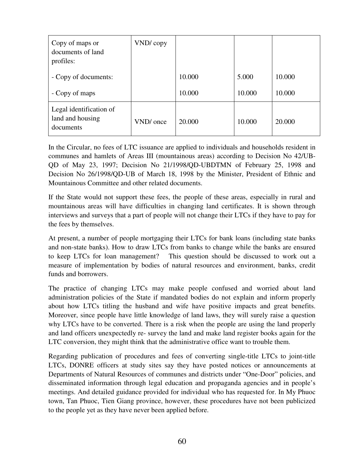| Copy of maps or<br>documents of land<br>profiles:        | VND/copy  |        |        |        |
|----------------------------------------------------------|-----------|--------|--------|--------|
| - Copy of documents:                                     |           | 10.000 | 5.000  | 10.000 |
| - Copy of maps                                           |           | 10.000 | 10.000 | 10.000 |
| Legal identification of<br>land and housing<br>documents | VND/ once | 20.000 | 10.000 | 20.000 |

In the Circular, no fees of LTC issuance are applied to individuals and households resident in communes and hamlets of Areas III (mountainous areas) according to Decision No 42/UB-QD of May 23, 1997; Decision No 21/1998/QD-UBDTMN of February 25, 1998 and Decision No 26/1998/QD-UB of March 18, 1998 by the Minister, President of Ethnic and Mountainous Committee and other related documents.

If the State would not support these fees, the people of these areas, especially in rural and mountainous areas will have difficulties in changing land certificates. It is shown through interviews and surveys that a part of people will not change their LTCs if they have to pay for the fees by themselves.

At present, a number of people mortgaging their LTCs for bank loans (including state banks and non-state banks). How to draw LTCs from banks to change while the banks are ensured to keep LTCs for loan management? This question should be discussed to work out a measure of implementation by bodies of natural resources and environment, banks, credit funds and borrowers.

The practice of changing LTCs may make people confused and worried about land administration policies of the State if mandated bodies do not explain and inform properly about how LTCs titling the husband and wife have positive impacts and great benefits. Moreover, since people have little knowledge of land laws, they will surely raise a question why LTCs have to be converted. There is a risk when the people are using the land properly and land officers unexpectedly re- survey the land and make land register books again for the LTC conversion, they might think that the administrative office want to trouble them.

Regarding publication of procedures and fees of converting single-title LTCs to joint-title LTCs, DONRE officers at study sites say they have posted notices or announcements at Departments of Natural Resources of communes and districts under "One-Door" policies, and disseminated information through legal education and propaganda agencies and in people's meetings. And detailed guidance provided for individual who has requested for. In My Phuoc town, Tan Phuoc, Tien Giang province, however, these procedures have not been publicized to the people yet as they have never been applied before.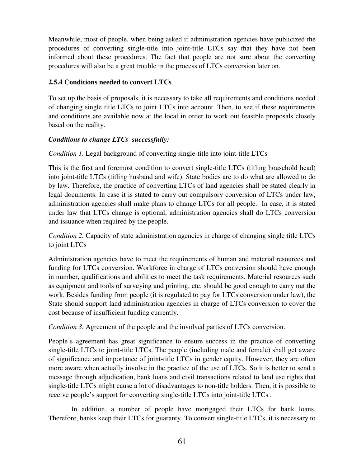Meanwhile, most of people, when being asked if administration agencies have publicized the procedures of converting single-title into joint-title LTCs say that they have not been informed about these procedures. The fact that people are not sure about the converting procedures will also be a great trouble in the process of LTCs conversion later on.

## **2.5.4 Conditions needed to convert LTCs**

To set up the basis of proposals, it is necessary to take all requirements and conditions needed of changing single title LTCs to joint LTCs into account. Then, to see if these requirements and conditions are available now at the local in order to work out feasible proposals closely based on the reality.

#### *Conditions to change LTCs successfully:*

*Condition 1.* Legal background of converting single-title into joint-title LTCs

This is the first and foremost condition to convert single-title LTCs (titling household head) into joint-title LTCs (titling husband and wife). State bodies are to do what are allowed to do by law. Therefore, the practice of converting LTCs of land agencies shall be stated clearly in legal documents. In case it is stated to carry out compulsory conversion of LTCs under law, administration agencies shall make plans to change LTCs for all people. In case, it is stated under law that LTCs change is optional, administration agencies shall do LTCs conversion and issuance when required by the people.

*Condition 2.* Capacity of state administration agencies in charge of changing single title LTCs to joint LTCs

Administration agencies have to meet the requirements of human and material resources and funding for LTCs conversion. Workforce in charge of LTCs conversion should have enough in number, qualifications and abilities to meet the task requirements. Material resources such as equipment and tools of surveying and printing, etc. should be good enough to carry out the work. Besides funding from people (it is regulated to pay for LTCs conversion under law), the State should support land administration agencies in charge of LTCs conversion to cover the cost because of insufficient funding currently.

*Condition 3.* Agreement of the people and the involved parties of LTCs conversion.

People's agreement has great significance to ensure success in the practice of converting single-title LTCs to joint-title LTCs. The people (including male and female) shall get aware of significance and importance of joint-title LTCs in gender equity. However, they are often more aware when actually involve in the practice of the use of LTCs. So it is better to send a message through adjudication, bank loans and civil transactions related to land use rights that single-title LTCs might cause a lot of disadvantages to non-title holders. Then, it is possible to receive people's support for converting single-title LTCs into joint-title LTCs .

 In addition, a number of people have mortgaged their LTCs for bank loans. Therefore, banks keep their LTCs for guaranty. To convert single-title LTCs, it is necessary to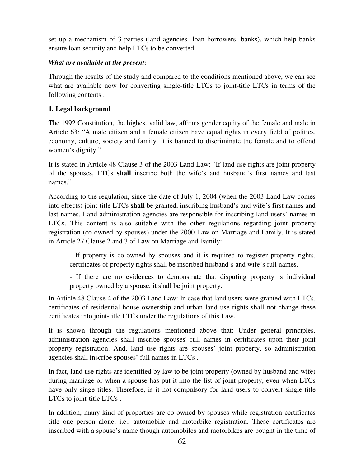set up a mechanism of 3 parties (land agencies- loan borrowers- banks), which help banks ensure loan security and help LTCs to be converted.

#### *What are available at the present:*

Through the results of the study and compared to the conditions mentioned above, we can see what are available now for converting single-title LTCs to joint-title LTCs in terms of the following contents :

#### **1***.* **Legal background**

The 1992 Constitution, the highest valid law, affirms gender equity of the female and male in Article 63: "A male citizen and a female citizen have equal rights in every field of politics, economy, culture, society and family. It is banned to discriminate the female and to offend women's dignity."

It is stated in Article 48 Clause 3 of the 2003 Land Law: "If land use rights are joint property of the spouses, LTCs **shall** inscribe both the wife's and husband's first names and last names."

According to the regulation, since the date of July 1, 2004 (when the 2003 Land Law comes into effects) joint-title LTCs **shall** be granted, inscribing husband's and wife's first names and last names. Land administration agencies are responsible for inscribing land users' names in LTCs. This content is also suitable with the other regulations regarding joint property registration (co-owned by spouses) under the 2000 Law on Marriage and Family. It is stated in Article 27 Clause 2 and 3 of Law on Marriage and Family:

- If property is co-owned by spouses and it is required to register property rights, certificates of property rights shall be inscribed husband's and wife's full names.

- If there are no evidences to demonstrate that disputing property is individual property owned by a spouse, it shall be joint property.

In Article 48 Clause 4 of the 2003 Land Law: In case that land users were granted with LTCs, certificates of residential house ownership and urban land use rights shall not change these certificates into joint-title LTCs under the regulations of this Law.

It is shown through the regulations mentioned above that: Under general principles, administration agencies shall inscribe spouses' full names in certificates upon their joint property registration. And, land use rights are spouses' joint property, so administration agencies shall inscribe spouses' full names in LTCs .

In fact, land use rights are identified by law to be joint property (owned by husband and wife) during marriage or when a spouse has put it into the list of joint property, even when LTCs have only singe titles. Therefore, is it not compulsory for land users to convert single-title LTCs to joint-title LTCs .

In addition, many kind of properties are co-owned by spouses while registration certificates title one person alone, i.e., automobile and motorbike registration. These certificates are inscribed with a spouse's name though automobiles and motorbikes are bought in the time of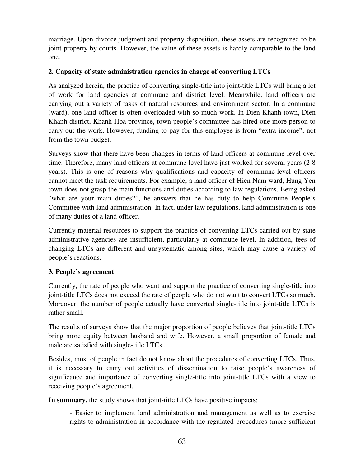marriage. Upon divorce judgment and property disposition, these assets are recognized to be joint property by courts. However, the value of these assets is hardly comparable to the land one.

## **2***.* **Capacity of state administration agencies in charge of converting LTCs**

As analyzed herein, the practice of converting single-title into joint-title LTCs will bring a lot of work for land agencies at commune and district level. Meanwhile, land officers are carrying out a variety of tasks of natural resources and environment sector. In a commune (ward), one land officer is often overloaded with so much work. In Dien Khanh town, Dien Khanh district, Khanh Hoa province, town people's committee has hired one more person to carry out the work. However, funding to pay for this employee is from "extra income", not from the town budget.

Surveys show that there have been changes in terms of land officers at commune level over time. Therefore, many land officers at commune level have just worked for several years (2-8 years). This is one of reasons why qualifications and capacity of commune-level officers cannot meet the task requirements. For example, a land officer of Hien Nam ward, Hung Yen town does not grasp the main functions and duties according to law regulations. Being asked "what are your main duties?", he answers that he has duty to help Commune People's Committee with land administration. In fact, under law regulations, land administration is one of many duties of a land officer.

Currently material resources to support the practice of converting LTCs carried out by state administrative agencies are insufficient, particularly at commune level. In addition, fees of changing LTCs are different and unsystematic among sites, which may cause a variety of people's reactions.

# **3***.* **People's agreement**

Currently, the rate of people who want and support the practice of converting single-title into joint-title LTCs does not exceed the rate of people who do not want to convert LTCs so much. Moreover, the number of people actually have converted single-title into joint-title LTCs is rather small.

The results of surveys show that the major proportion of people believes that joint-title LTCs bring more equity between husband and wife. However, a small proportion of female and male are satisfied with single-title LTCs .

Besides, most of people in fact do not know about the procedures of converting LTCs. Thus, it is necessary to carry out activities of dissemination to raise people's awareness of significance and importance of converting single-title into joint-title LTCs with a view to receiving people's agreement.

**In summary,** the study shows that joint-title LTCs have positive impacts:

- Easier to implement land administration and management as well as to exercise rights to administration in accordance with the regulated procedures (more sufficient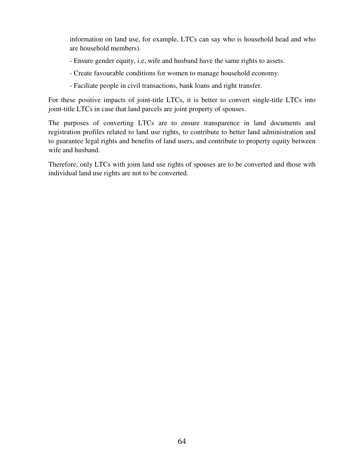information on land use, for example, LTCs can say who is household head and who are household members).

- Ensure gender equity, i.e, wife and husband have the same rights to assets.
- Create favourable conditions for women to manage household economy.
- Faciliate people in civil transactions, bank loans and right transfer.

For these positive impacts of joint-title LTCs, it is better to convert single-title LTCs into joint-title LTCs in case that land parcels are joint property of spouses.

The purposes of converting LTCs are to ensure transparence in land documents and registration profiles related to land use rights, to contribute to better land administration and to guarantee legal rights and benefits of land users, and contribute to property equity between wife and husband.

Therefore, only LTCs with joint land use rights of spouses are to be converted and those with individual land use rights are not to be converted.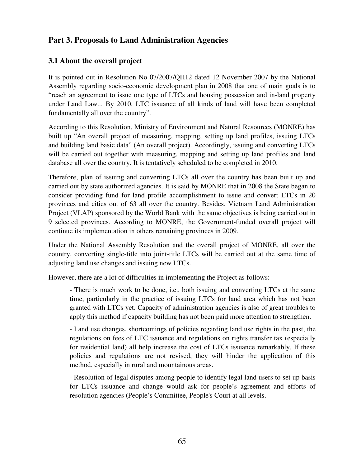# **Part 3. Proposals to Land Administration Agencies**

# **3.1 About the overall project**

It is pointed out in Resolution No 07/2007/QH12 dated 12 November 2007 by the National Assembly regarding socio-economic development plan in 2008 that one of main goals is to "reach an agreement to issue one type of LTCs and housing possession and in-land property under Land Law... By 2010, LTC issuance of all kinds of land will have been completed fundamentally all over the country".

According to this Resolution, Ministry of Environment and Natural Resources (MONRE) has built up "An overall project of measuring, mapping, setting up land profiles, issuing LTCs and building land basic data" (An overall project). Accordingly, issuing and converting LTCs will be carried out together with measuring, mapping and setting up land profiles and land database all over the country. It is tentatively scheduled to be completed in 2010.

Therefore, plan of issuing and converting LTCs all over the country has been built up and carried out by state authorized agencies. It is said by MONRE that in 2008 the State began to consider providing fund for land profile accomplishment to issue and convert LTCs in 20 provinces and cities out of 63 all over the country. Besides, Vietnam Land Administration Project (VLAP) sponsored by the World Bank with the same objectives is being carried out in 9 selected provinces. According to MONRE, the Government-funded overall project will continue its implementation in others remaining provinces in 2009.

Under the National Assembly Resolution and the overall project of MONRE, all over the country, converting single-title into joint-title LTCs will be carried out at the same time of adjusting land use changes and issuing new LTCs.

However, there are a lot of difficulties in implementing the Project as follows:

- There is much work to be done, i.e., both issuing and converting LTCs at the same time, particularly in the practice of issuing LTCs for land area which has not been granted with LTCs yet. Capacity of administration agencies is also of great troubles to apply this method if capacity building has not been paid more attention to strengthen.

- Land use changes, shortcomings of policies regarding land use rights in the past, the regulations on fees of LTC issuance and regulations on rights transfer tax (especially for residential land) all help increase the cost of LTCs issuance remarkably. If these policies and regulations are not revised, they will hinder the application of this method, especially in rural and mountainous areas.

- Resolution of legal disputes among people to identify legal land users to set up basis for LTCs issuance and change would ask for people's agreement and efforts of resolution agencies (People's Committee, People's Court at all levels.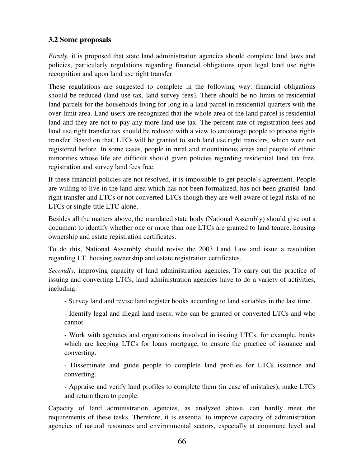# **3.2 Some proposals**

*Firstly*, it is proposed that state land administration agencies should complete land laws and policies, particularly regulations regarding financial obligations upon legal land use rights recognition and upon land use right transfer.

These regulations are suggested to complete in the following way: financial obligations should be reduced (land use tax, land survey fees). There should be no limits to residential land parcels for the households living for long in a land parcel in residential quarters with the over-limit area. Land users are recognized that the whole area of the land parcel is residential land and they are not to pay any more land use tax. The percent rate of registration fees and land use right transfer tax should be reduced with a view to encourage people to process rights transfer. Based on that, LTCs will be granted to such land use right transfers, which were not registered before. In some cases, people in rural and mountainous areas and people of ethnic minorities whose life are difficult should given policies regarding residential land tax free, registration and survey land fees free.

If these financial policies are not resolved, it is impossible to get people's agreement. People are willing to live in the land area which has not been formalized, has not been granted land right transfer and LTCs or not converted LTCs though they are well aware of legal risks of no LTCs or single-title LTC alone.

Besides all the matters above, the mandated state body (National Assembly) should give out a document to identify whether one or more than one LTCs are granted to land tenure, housing ownership and estate registration certificates.

To do this, National Assembly should revise the 2003 Land Law and issue a resolution regarding LT, housing ownership and estate registration certificates.

*Secondly,* improving capacity of land administration agencies. To carry out the practice of issuing and converting LTCs, land administration agencies have to do a variety of activities, including:

- Survey land and revise land register books according to land variables in the last time.

- Identify legal and illegal land users; who can be granted or converted LTCs and who cannot.

- Work with agencies and organizations involved in issuing LTCs, for example, banks which are keeping LTCs for loans mortgage, to ensure the practice of issuance and converting.

- Disseminate and guide people to complete land profiles for LTCs issuance and converting.

- Appraise and verify land profiles to complete them (in case of mistakes), make LTCs and return them to people.

Capacity of land administration agencies, as analyzed above, can hardly meet the requirements of these tasks. Therefore, it is essential to improve capacity of administration agencies of natural resources and environmental sectors, especially at commune level and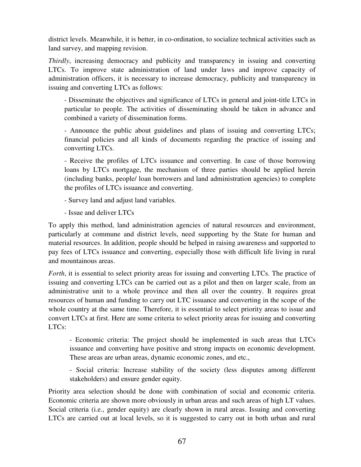district levels. Meanwhile, it is better, in co-ordination, to socialize technical activities such as land survey, and mapping revision.

*Thirdly*, increasing democracy and publicity and transparency in issuing and converting LTCs. To improve state administration of land under laws and improve capacity of administration officers, it is necessary to increase democracy, publicity and transparency in issuing and converting LTCs as follows:

- Disseminate the objectives and significance of LTCs in general and joint-title LTCs in particular to people. The activities of disseminating should be taken in advance and combined a variety of dissemination forms.

- Announce the public about guidelines and plans of issuing and converting LTCs; financial policies and all kinds of documents regarding the practice of issuing and converting LTCs.

- Receive the profiles of LTCs issuance and converting. In case of those borrowing loans by LTCs mortgage, the mechanism of three parties should be applied herein (including banks, people/ loan borrowers and land administration agencies) to complete the profiles of LTCs issuance and converting.

- Survey land and adjust land variables.
- Issue and deliver LTCs

To apply this method, land administration agencies of natural resources and environment, particularly at commune and district levels, need supporting by the State for human and material resources. In addition, people should be helped in raising awareness and supported to pay fees of LTCs issuance and converting, especially those with difficult life living in rural and mountainous areas.

*Forth*, it is essential to select priority areas for issuing and converting LTCs. The practice of issuing and converting LTCs can be carried out as a pilot and then on larger scale, from an administrative unit to a whole province and then all over the country. It requires great resources of human and funding to carry out LTC issuance and converting in the scope of the whole country at the same time. Therefore, it is essential to select priority areas to issue and convert LTCs at first. Here are some criteria to select priority areas for issuing and converting LTCs:

- Economic criteria: The project should be implemented in such areas that LTCs issuance and converting have positive and strong impacts on economic development. These areas are urban areas, dynamic economic zones, and etc.,

- Social criteria: Increase stability of the society (less disputes among different stakeholders) and ensure gender equity.

Priority area selection should be done with combination of social and economic criteria. Economic criteria are shown more obviously in urban areas and such areas of high LT values. Social criteria (i.e., gender equity) are clearly shown in rural areas. Issuing and converting LTCs are carried out at local levels, so it is suggested to carry out in both urban and rural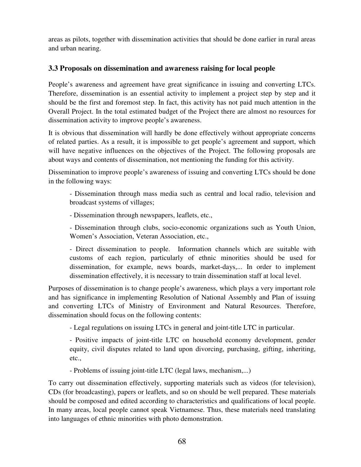areas as pilots, together with dissemination activities that should be done earlier in rural areas and urban nearing.

## **3.3 Proposals on dissemination and awareness raising for local people**

People's awareness and agreement have great significance in issuing and converting LTCs. Therefore, dissemination is an essential activity to implement a project step by step and it should be the first and foremost step. In fact, this activity has not paid much attention in the Overall Project. In the total estimated budget of the Project there are almost no resources for dissemination activity to improve people's awareness.

It is obvious that dissemination will hardly be done effectively without appropriate concerns of related parties. As a result, it is impossible to get people's agreement and support, which will have negative influences on the objectives of the Project. The following proposals are about ways and contents of dissemination, not mentioning the funding for this activity.

Dissemination to improve people's awareness of issuing and converting LTCs should be done in the following ways:

- Dissemination through mass media such as central and local radio, television and broadcast systems of villages;

- Dissemination through newspapers, leaflets, etc.,

- Dissemination through clubs, socio-economic organizations such as Youth Union, Women's Association, Veteran Association, etc.,

- Direct dissemination to people. Information channels which are suitable with customs of each region, particularly of ethnic minorities should be used for dissemination, for example, news boards, market-days,... In order to implement dissemination effectively, it is necessary to train dissemination staff at local level.

Purposes of dissemination is to change people's awareness, which plays a very important role and has significance in implementing Resolution of National Assembly and Plan of issuing and converting LTCs of Ministry of Environment and Natural Resources. Therefore, dissemination should focus on the following contents:

- Legal regulations on issuing LTCs in general and joint-title LTC in particular.

- Positive impacts of joint-title LTC on household economy development, gender equity, civil disputes related to land upon divorcing, purchasing, gifting, inheriting, etc.,

- Problems of issuing joint-title LTC (legal laws, mechanism,...)

To carry out dissemination effectively, supporting materials such as videos (for television), CDs (for broadcasting), papers or leaflets, and so on should be well prepared. These materials should be composed and edited according to characteristics and qualifications of local people. In many areas, local people cannot speak Vietnamese. Thus, these materials need translating into languages of ethnic minorities with photo demonstration.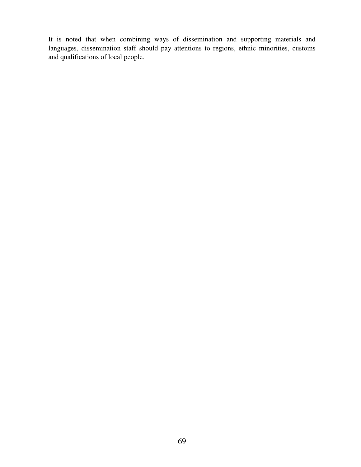It is noted that when combining ways of dissemination and supporting materials and languages, dissemination staff should pay attentions to regions, ethnic minorities, customs and qualifications of local people.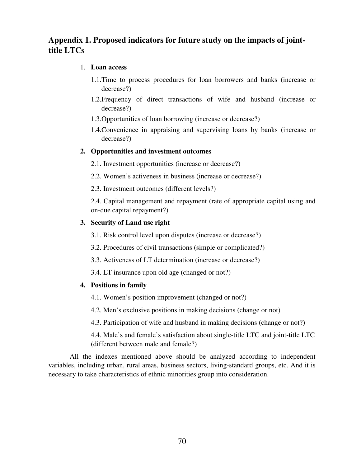# **Appendix 1. Proposed indicators for future study on the impacts of jointtitle LTCs**

#### 1. **Loan access**

- 1.1.Time to process procedures for loan borrowers and banks (increase or decrease?)
- 1.2.Frequency of direct transactions of wife and husband (increase or decrease?)
- 1.3.Opportunities of loan borrowing (increase or decrease?)
- 1.4.Convenience in appraising and supervising loans by banks (increase or decrease?)

#### **2. Opportunities and investment outcomes**

- 2.1. Investment opportunities (increase or decrease?)
- 2.2. Women's activeness in business (increase or decrease?)
- 2.3. Investment outcomes (different levels?)

2.4. Capital management and repayment (rate of appropriate capital using and on-due capital repayment?)

#### **3. Security of Land use right**

3.1. Risk control level upon disputes (increase or decrease?)

3.2. Procedures of civil transactions (simple or complicated?)

- 3.3. Activeness of LT determination (increase or decrease?)
- 3.4. LT insurance upon old age (changed or not?)

#### **4. Positions in family**

- 4.1. Women's position improvement (changed or not?)
- 4.2. Men's exclusive positions in making decisions (change or not)

4.3. Participation of wife and husband in making decisions (change or not?)

4.4. Male's and female's satisfaction about single-title LTC and joint-title LTC (different between male and female?)

All the indexes mentioned above should be analyzed according to independent variables, including urban, rural areas, business sectors, living-standard groups, etc. And it is necessary to take characteristics of ethnic minorities group into consideration.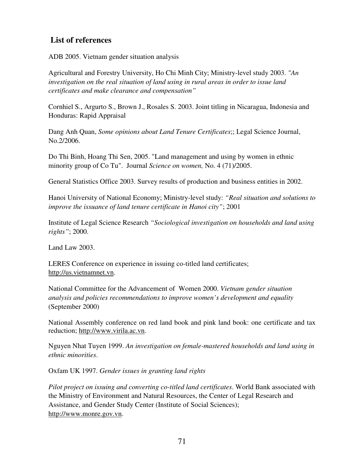# **List of references**

ADB 2005. Vietnam gender situation analysis

Agricultural and Forestry University, Ho Chi Minh City; Ministry-level study 2003. *"An investigation on the real situation of land using in rural areas in order to issue land certificates and make clearance and compensation"* 

Cornhiel S., Argurto S., Brown J., Rosales S. 2003. Joint titling in Nicaragua, Indonesia and Honduras: Rapid Appraisal

Dang Anh Quan, *Some opinions about Land Tenure Certificates*;; Legal Science Journal, No.2/2006.

Do Thi Binh, Hoang Thi Sen, 2005. "Land management and using by women in ethnic minority group of Co Tu". Journal *Science on women,* No. 4 (71)/2005.

General Statistics Office 2003. Survey results of production and business entities in 2002.

Hanoi University of National Economy; Ministry-level study: *"Real situation and solutions to improve the issuance of land tenure certificate in Hanoi city"*; 2001

Institute of Legal Science Research *"Sociological investigation on households and land using rights"*; 2000.

Land Law 2003.

LERES Conference on experience in issuing co-titled land certificates; http://us.vietnamnet.vn.

National Committee for the Advancement of Women 2000. *Vietnam gender situation analysis and policies recommendations to improve women's development and equality* (September 2000)

National Assembly conference on red land book and pink land book: one certificate and tax reduction; http://www.virila.ac.vn.

Nguyen Nhat Tuyen 1999. *An investigation on female-mastered households and land using in ethnic minorities*.

Oxfam UK 1997. *Gender issues in granting land rights* 

*Pilot project on issuing and converting co-titled land certificates*. World Bank associated with the Ministry of Environment and Natural Resources, the Center of Legal Research and Assistance, and Gender Study Center (Institute of Social Sciences); http://www.monre.gov.vn.